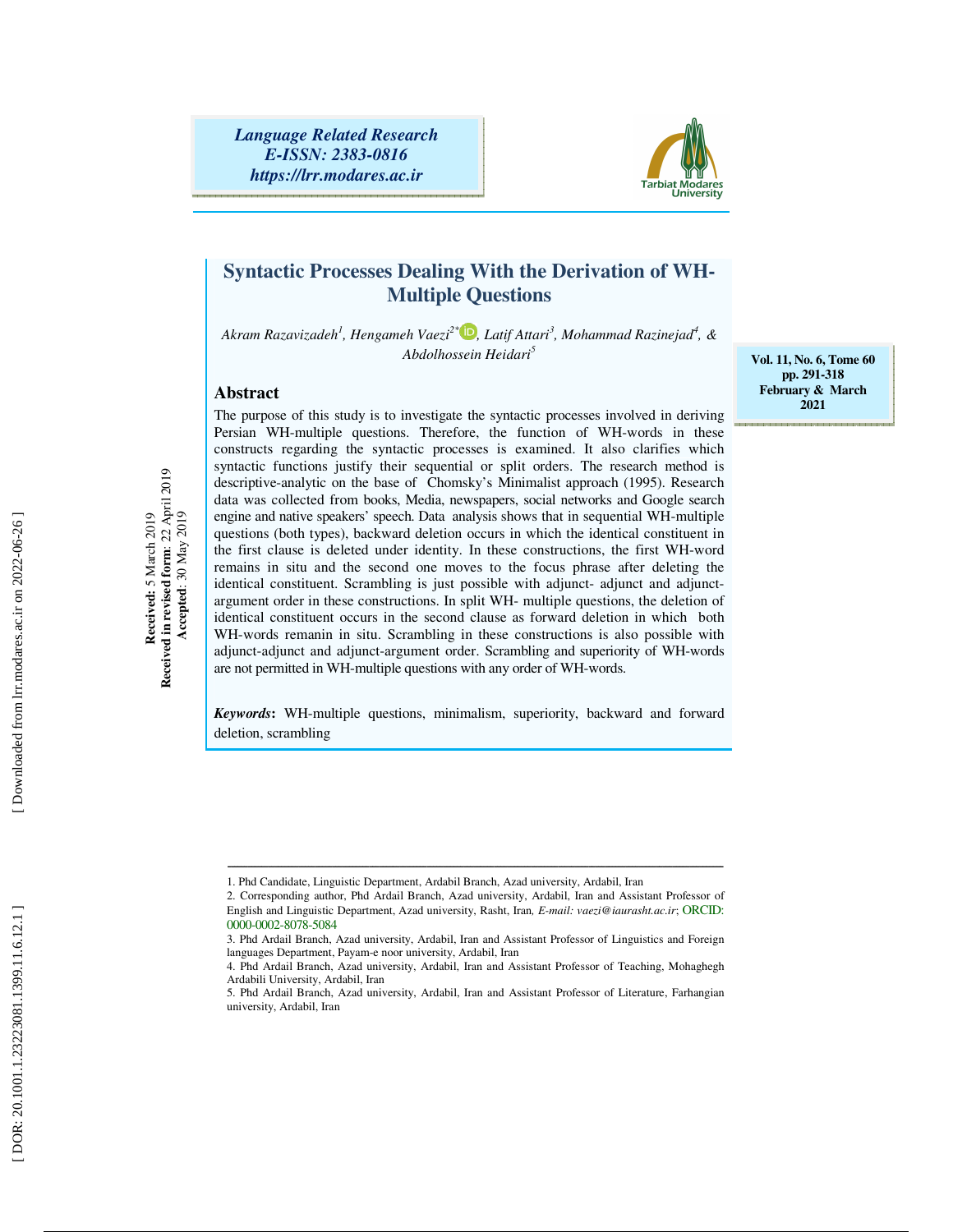

# **Syntactic Processes Dealing With the Derivation of WH-Multiple Questions**

*Akram Razavizadeh 1 , Hengameh Vaezi2\* , Latif Attari 3 , Mohammad Razinejad<sup>4</sup> , & Abdolhossein Heidari 5*

## **Abstract**

**Received:** 5 March 2019 **Received in revised form**: 22 April 2019  **Accepted**: 30 May 2019

Received is March 2019<br>Received in revised form: 22 April 2019<br>Accepted: 30 May 2019

The purpose of this study is to investigate the syntactic processes involved in deriving Persian WH-multiple questions. Therefore, the function of WH-words in these constructs regarding the syntactic processes is examined. It also clarifies which syntactic functions justify their sequential or split orders. The research method is descriptive-analytic on the base of Chomsky's Minimalist approach (1995). Research data was collected from books, Media, newspapers, social networks and Google search engine and native speakers' speech. Data analysis shows that in sequential WH-multiple questions (both types), backward deletion occurs in which the identical constituent in the first clause is deleted under identity. In these constructions, the first WH-word remains in situ and the second one moves to the focus phrase after deleting the identical constituent. Scrambling is just possible with adjunct- adjunct and adjunctargument order in these constructions. In split WH- multiple questions, the deletion of identical constituent occurs in the second clause as forward deletion in which both WH-words remanin in situ. Scrambling in these constructions is also possible with adjunct-adjunct and adjunct-argument order. Scrambling and superiority of WH-words are not permitted in WH-multiple questions with any order of WH-words.

*Keywords***:** WH-multiple questions, minimalism, superiority, backward and forward deletion, scrambling

ـــــــــــــــــــــــــــــــــــــــــــــــــــــــــــــــــــــــــــــــــــــــــــــــــــــــــــــــــــــــــــــــــــــــــــــــــــ

**Vol. 11, No. 6, Tome 60 pp. 291-318 February & March 2021** 

<sup>1.</sup> Phd Candidate, Linguistic Department, Ardabil Branch, Azad university, Ardabil, Iran

<sup>2.</sup> Corresponding author, Phd Ardail Branch, Azad university, Ardabil, Iran and Assistant Professor of English and Linguistic Department, Azad university, Rasht, Iran*, E-mail: vaezi@iaurasht.ac.ir*; ORCID: 0000-0002-8078-5084

<sup>3.</sup> Phd Ardail Branch, Azad university, Ardabil, Iran and Assistant Professor of Linguistics and Foreign languages Department, Payam-e noor university, Ardabil, Iran

<sup>4.</sup> Phd Ardail Branch, Azad university, Ardabil, Iran and Assistant Professor of Teaching, Mohaghegh Ardabili University, Ardabil, Iran

<sup>5.</sup> Phd Ardail Branch, Azad university, Ardabil, Iran and Assistant Professor of Literature, Farhangian university, Ardabil, Iran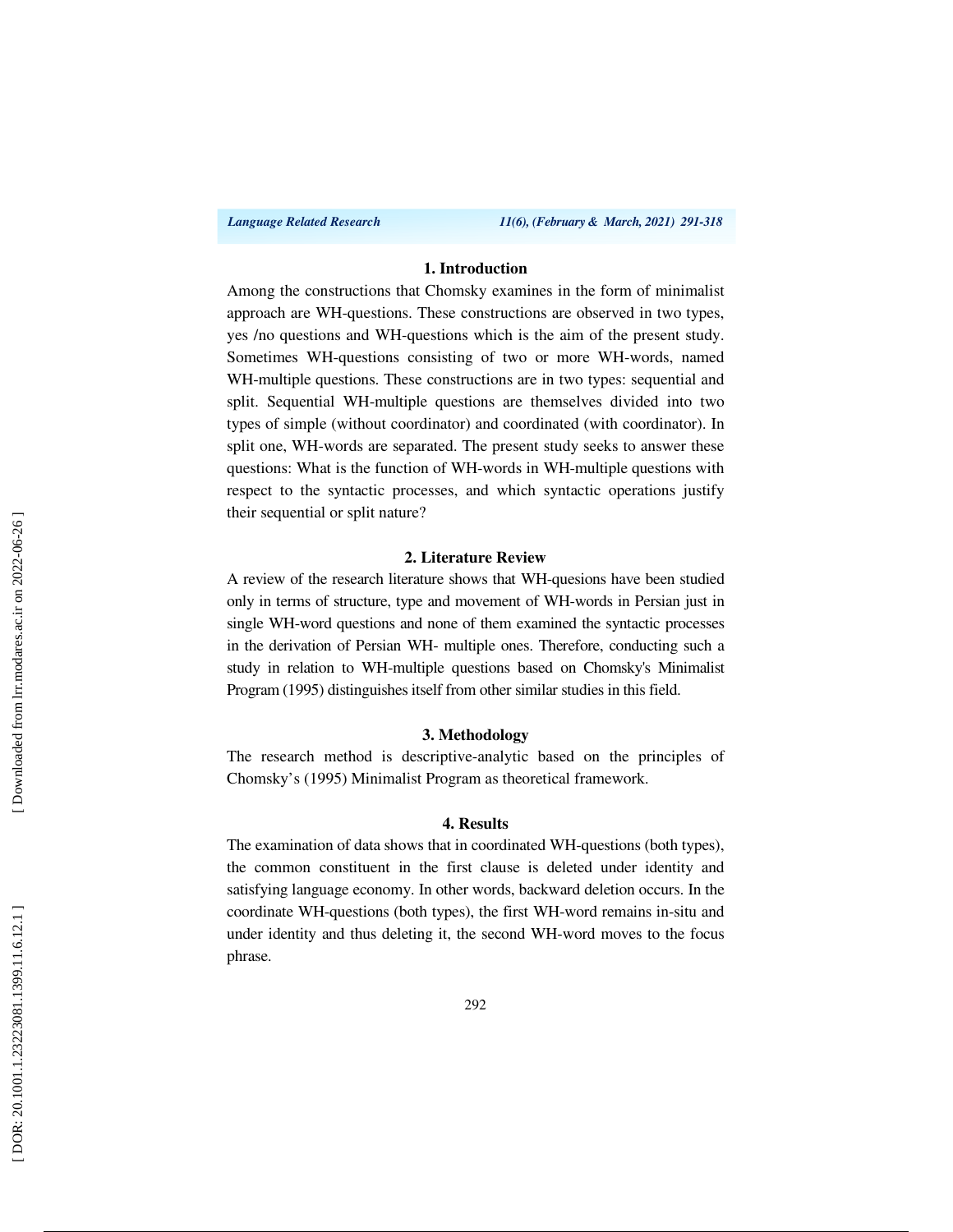*Language Related Research 11(6), (February & March, 2021) 291-318*

## **1. Introduction**

Among the constructions that Chomsky examines in the form of minimalist approach are WH-questions. These constructions are observed in two types, yes /no questions and WH-questions which is the aim of the present study. Sometimes WH-questions consisting of two or more WH-words, named WH-multiple questions. These constructions are in two types: sequential and split. Sequential WH-multiple questions are themselves divided into two types of simple (without coordinator) and coordinated (with coordinator). In split one, WH-words are separated. The present study seeks to answer these questions: What is the function of WH-words in WH-multiple questions with respect to the syntactic processes, and which syntactic operations justify their sequential or split nature?

#### **2. Literature Review**

A review of the research literature shows that WH-quesions have been studied only in terms of structure, type and movement of WH-words in Persian just in single WH-word questions and none of them examined the syntactic processes in the derivation of Persian WH- multiple ones. Therefore, conducting such a study in relation to WH-multiple questions based on Chomsky's Minimalist Program (1995) distinguishes itself from other similar studies in this field.

#### **3. Methodology**

The research method is descriptive-analytic based on the principles of Chomsky's (1995) Minimalist Program as theoretical framework.

#### **4. Results**

The examination of data shows that in coordinated WH-questions (both types), the common constituent in the first clause is deleted under identity and satisfying language economy. In other words, backward deletion occurs. In the coordinate WH-questions (both types), the first WH-word remains in-situ and under identity and thus deleting it, the second WH-word moves to the focus phrase.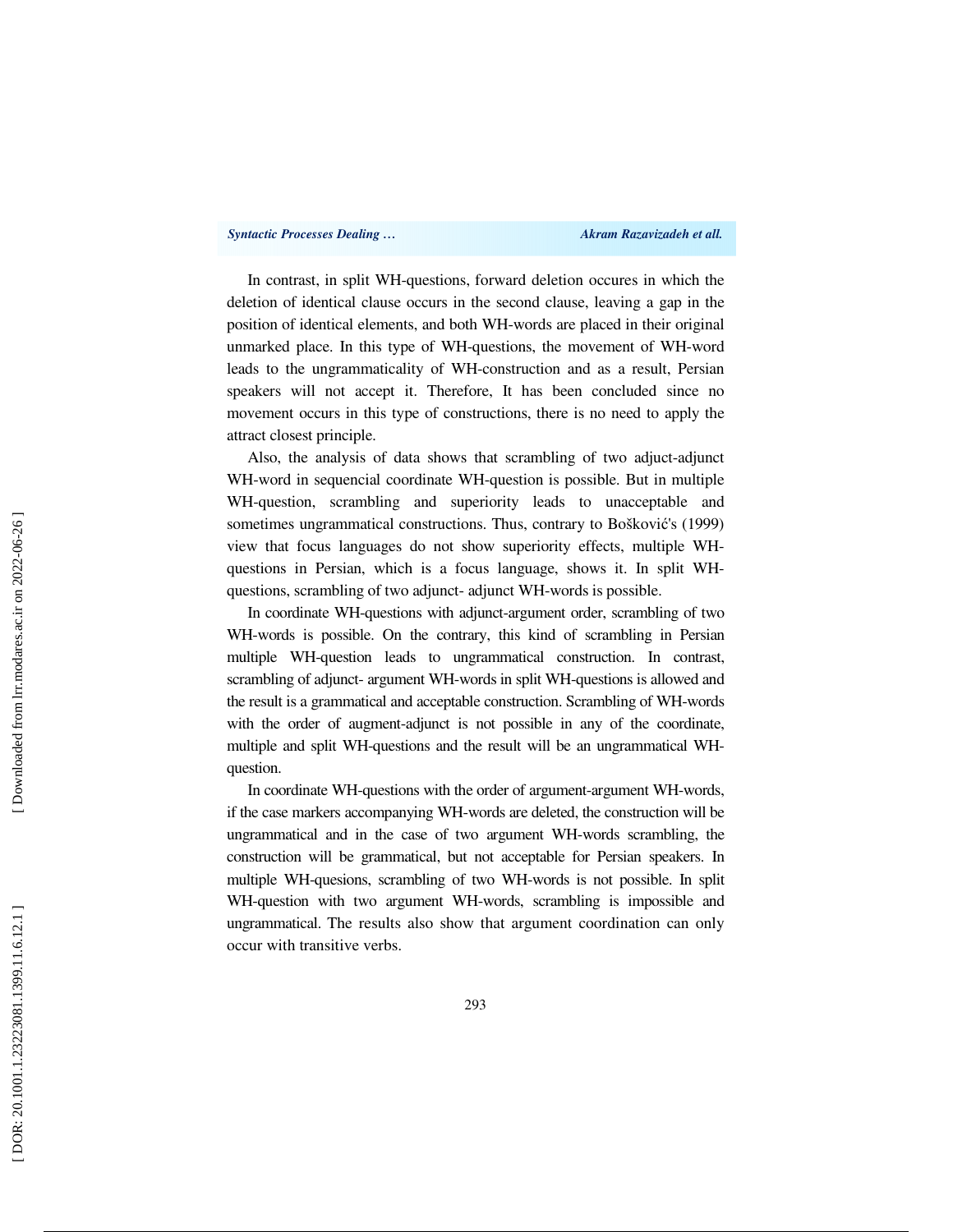In contrast, in split WH-questions, forward deletion occures in which the deletion of identical clause occurs in the second clause, leaving a gap in the position of identical elements, and both WH-words are placed in their original unmarked place. In this type of WH-questions, the movement of WH-word leads to the ungrammaticality of WH-construction and as a result, Persian speakers will not accept it. Therefore, It has been concluded since no movement occurs in this type of constructions, there is no need to apply the attract closest principle.

Also, the analysis of data shows that scrambling of two adjuct-adjunct WH-word in sequencial coordinate WH-question is possible. But in multiple WH-question, scrambling and superiority leads to unacceptable and sometimes ungrammatical constructions. Thus, contrary to Boškovi ć's (1999) view that focus languages do not show superiority effects, multiple WHquestions in Persian, which is a focus language, shows it. In split WHquestions, scrambling of two adjunct- adjunct WH-words is possible.

In coordinate WH-questions with adjunct-argument order, scrambling of two WH-words is possible. On the contrary, this kind of scrambling in Persian multiple WH-question leads to ungrammatical construction. In contrast, scrambling of adjunct- argument WH-words in split WH-questions is allowed and the result is a grammatical and acceptable construction. Scrambling of WH-words with the order of augment-adjunct is not possible in any of the coordinate, multiple and split WH-questions and the result will be an ungrammatical WHquestion.

In coordinate WH-questions with the order of argument-argument WH-words, if the case markers accompanying WH-words are deleted, the construction will be ungrammatical and in the case of two argument WH-words scrambling, the construction will be grammatical, but not acceptable for Persian speakers. In multiple WH-quesions, scrambling of two WH-words is not possible. In split WH-question with two argument WH-words, scrambling is impossible and ungrammatical. The results also show that argument coordination can only occur with transitive verbs.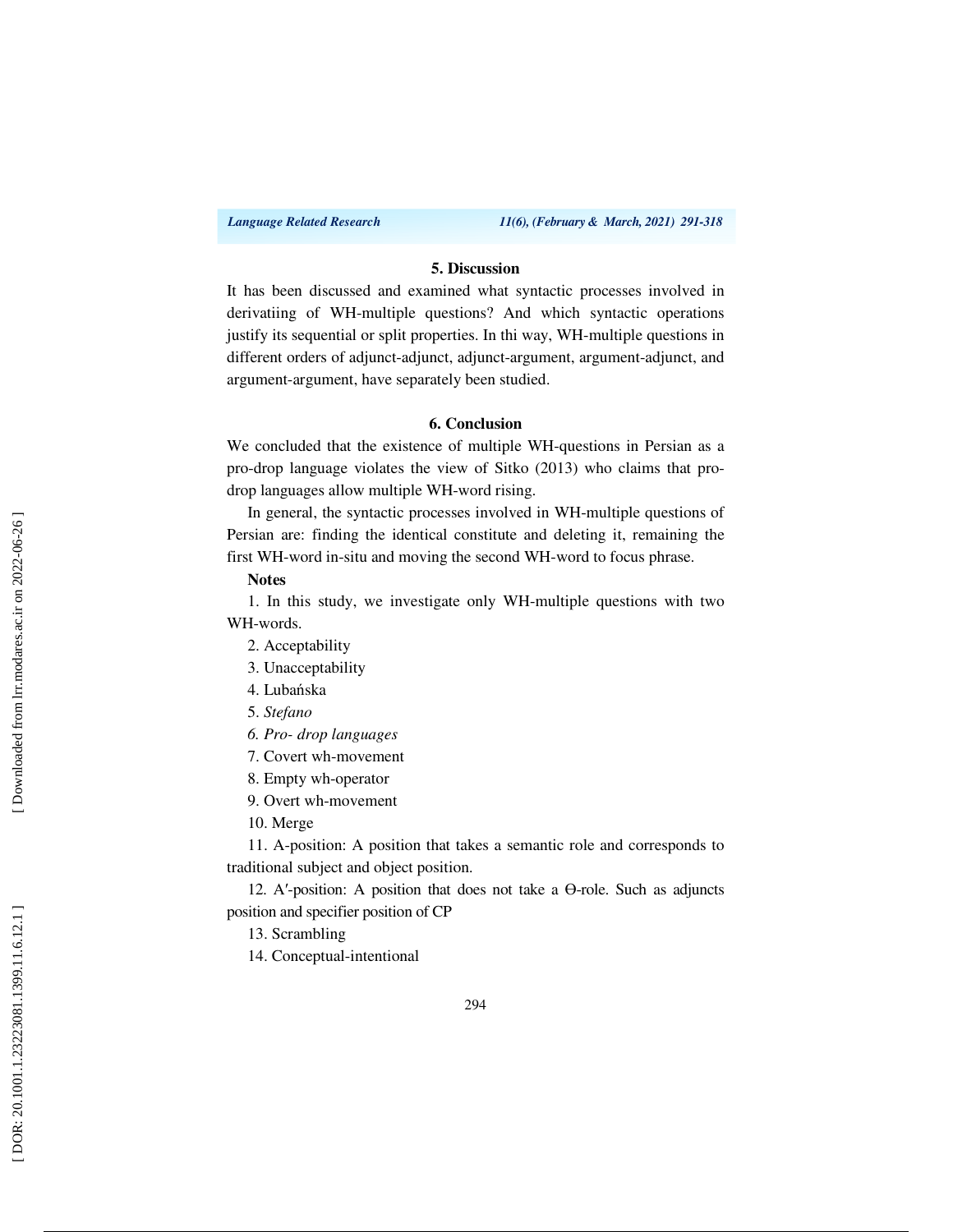#### **5. Discussion**

It has been discussed and examined what syntactic processes involved in derivatiing of WH-multiple questions? And which syntactic operations justify its sequential or split properties. In thi way, WH-multiple questions in different orders of adjunct-adjunct, adjunct-argument, argument-adjunct, and argument-argument, have separately been studied.

#### **6. Conclusion**

We concluded that the existence of multiple WH-questions in Persian as a pro-drop language violates the view of Sitko (2013) who claims that prodrop languages allow multiple WH-word rising.

In general, the syntactic processes involved in WH-multiple questions of Persian are: finding the identical constitute and deleting it, remaining the first WH-word in-situ and moving the second WH-word to focus phrase.

#### **Notes**

1. In this study, we investigate only WH-multiple questions with two WH-words.

- 2. Acceptability
- 3. Unacceptability
- 4. Lubańska
- 5. *Stefano*
- *6. Pro- drop languages*
- 7. Covert wh-movement
- 8. Empty wh-operator
- 9. Overt wh-movement
- 10. Merge

11. A-position: A position that takes a semantic role and corresponds to traditional subject and object position.

12. A ′-position: A position that does not take a Ө-role. Such as adjuncts position and specifier position of CP

13. Scrambling

14. Conceptual-intentional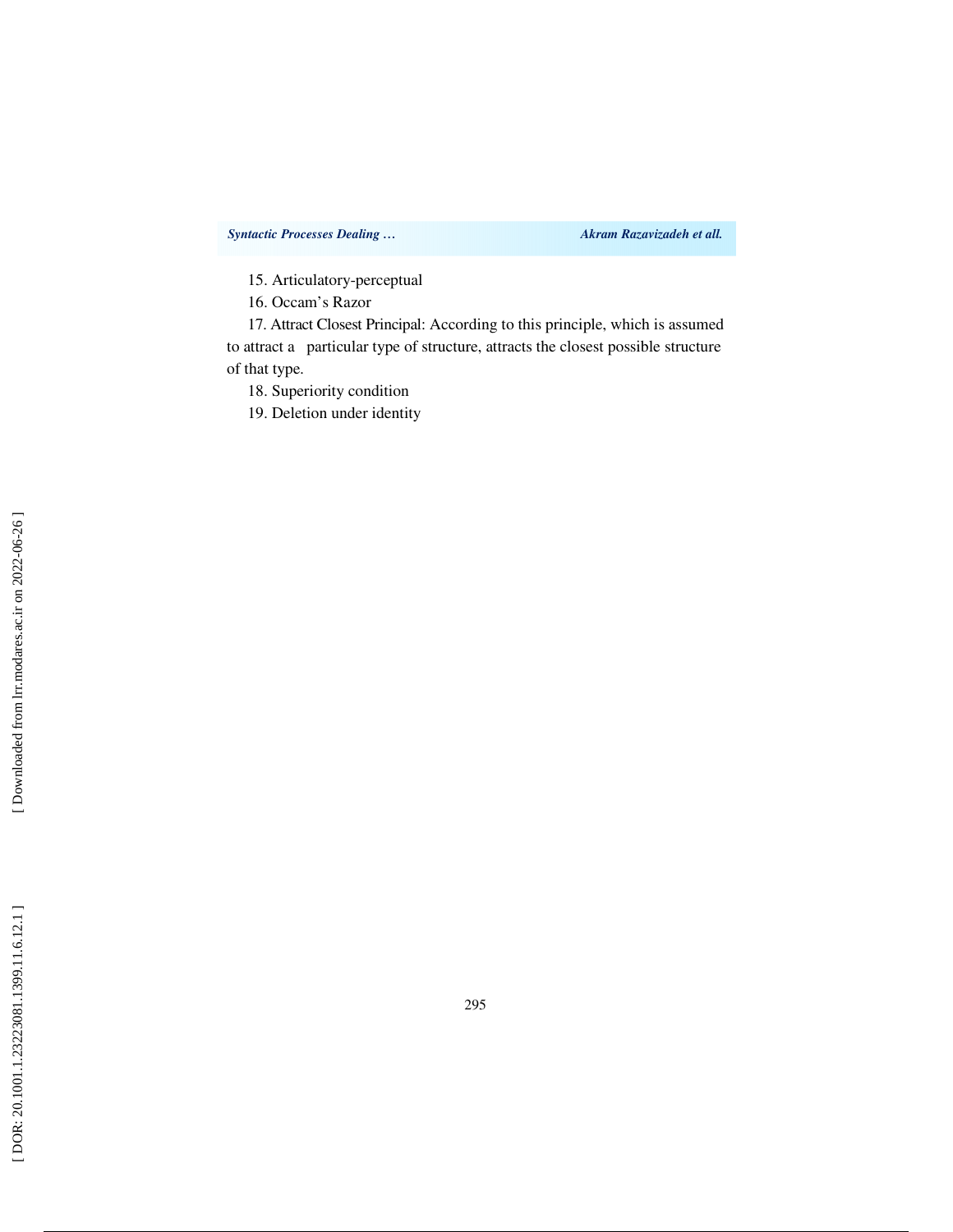15. Articulatory-perceptual

16. Occam's Razor

17. Attract Closest Principal: According to this principle, which is assumed to attract a particular type of structure, attracts the closest possible structure of that type.

18. Superiority condition

19. Deletion under identity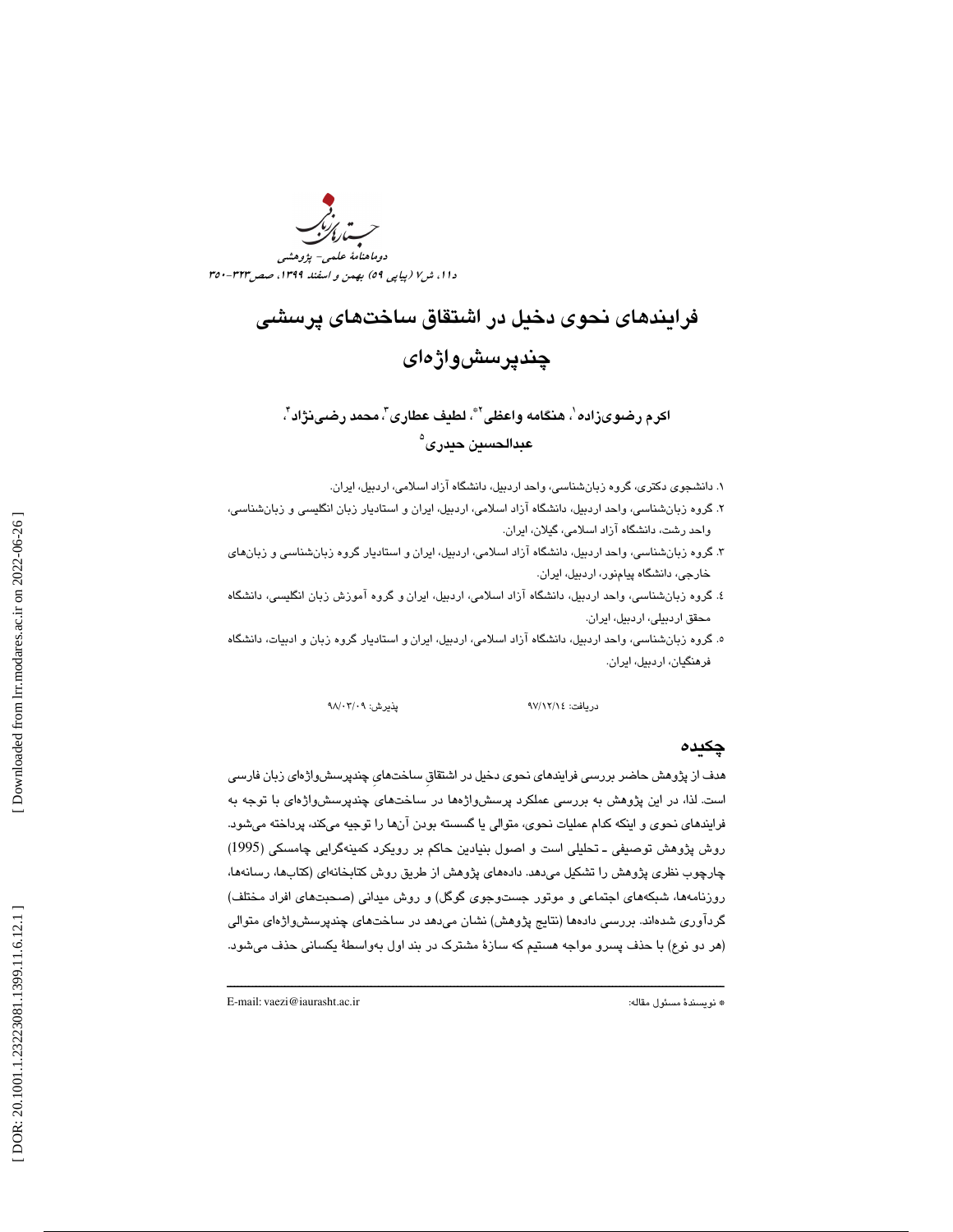

# فرايندهاي نحوي دخيل در اشتقاق ساختهاي پرسشي چندپرسشواژهاي

اكرم رضىوىزاده '، هنگامه واعظى '\*، لطيف عطارى"، محمد رضى نژاد '، عبدالحسين حيدرى<sup>ه</sup>

. 1 دانشجوي دكتري، گروه زبانشناسي، واحد اردبيل، دانشگاه آزاد اسلامي، اردبيل، ايران.

- . گروه زبانشناسي، واحد اردبيل، دانشگاه آزاد اسلامي، اردبيل، ايران و استاديار زبان انگليسي و زبانشناسي، 2 واحد رشت، دانشگاه آزاد اسلامي، گيلان، ايران.
- ۳. گروه زبانشناسي، واحد اردبيل، دانشگاه آزاد اسلامي، اردبيل، ايران و استاديار گروه زبانشناسي و زبانهاي<br>خارجي، دانشگاه پيامنور، اردبيل، ايران.
- .<br>٤. گروه زبانشناسي، واحد اردبيل، دانشگاه آزاد اسلامي، اردبيل، ايران و گروه آموزش زبان انگليسي، دانشگاه محقق اردبيلي، اردبيل، ايران.
- ه. گروه زبانشناسي، واحد اردبيل، دانشگاه آزاد اسلامي، اردبيل، ايران و استاديار گروه زبان و ادبيات، دانشگاه فرهنگيان، اردبيل، ايران.

يذيرش: ٩٨/٠٣/٠٩

دريافت: 14/ 12/ 97 پذيرش: 09/ /03

#### چكيده

هدف از پژوهش حاضر بررسي فرايندهاي نحوي دخيل در اشتقاقِ ساختهايِ چندپرسشواژهاي زبان فارسي است. لذا، در اين پژوهش به بررسي عملكرد پرسشواژه ها در ساختهاي چندپرسشواژهاي با توجه به فرايندهاي نحوي و اينكه كدام عمليات نحوي، متوالي يا گسسته بودن آنها را توجيه ميكند، پرداخته مي .شود روش پژوهش توصيفي ـ تحليلي است و اصول بنيادين حاكم بر رويكرد كمينهگرايي چامسكي (1995) چارچوب نظري پژوهش را تشكيل ميدهد. دادههاي پژوهش از طريق روش كتابخانهاي (كتابها، رسانه ها، روزنامهها، شبكههاي اجتماعي و موتور جستوجوي گوگل) و روش ميداني (صحبتهاي افراد مختلف) گردآوري شدهاند. بررسي دادهها (نتايج پژوهش) نشان ميدهد در ساختهاي چندپرسشواژه اي متوالي (هر دو نوع) با حذف پسرو مواجه هستيم كه سازة مشترك در بند اول بهواسطة يكساني حذف ميشود.

ــــــــــــــــــــــــــــــــــــــــــــــــــــــــــــــــــــــــــــــــــــــــــــــــــــــــــــــــــــــــــــــــــــــــــ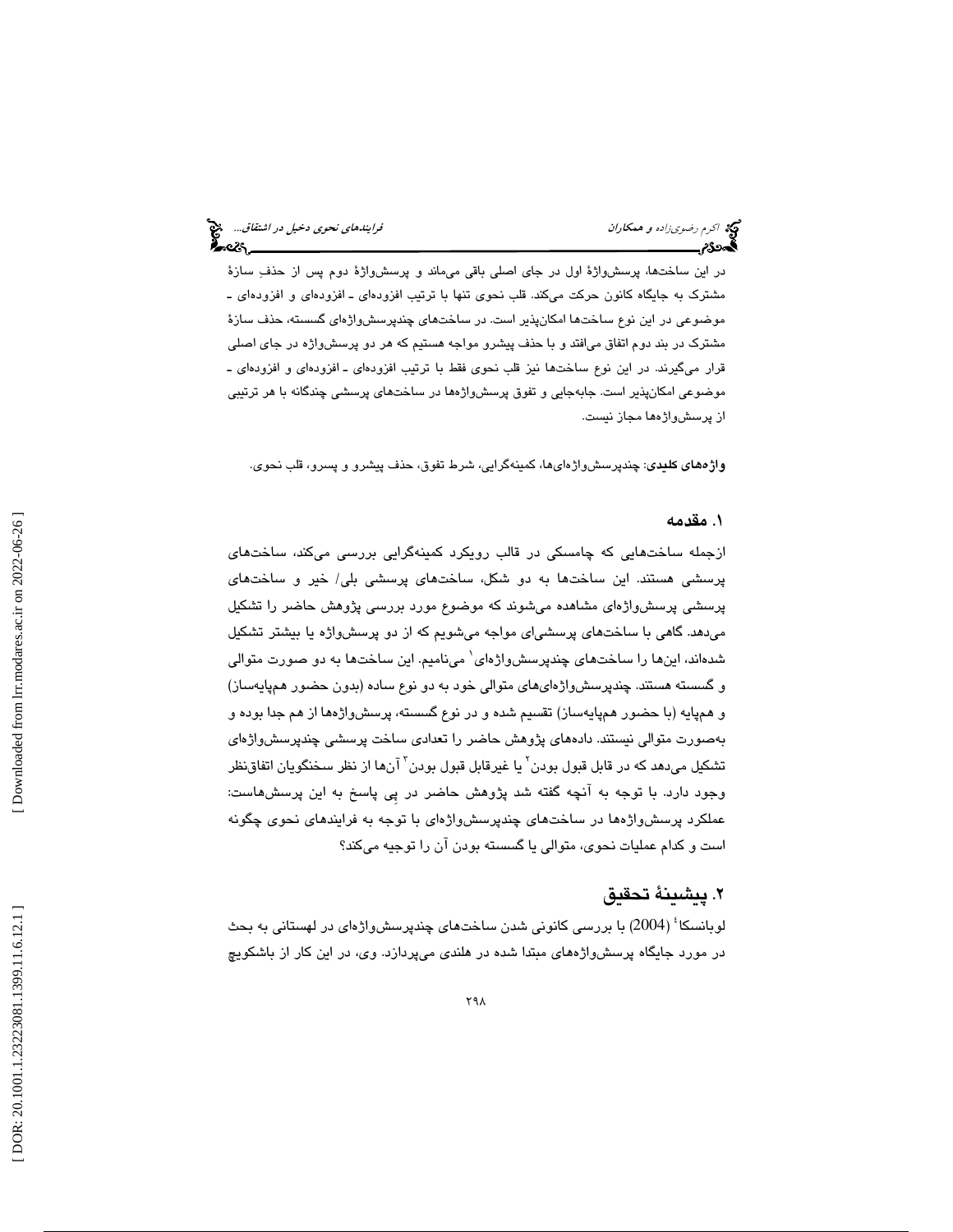در اين ساختها، پرسشواژة اول در جاي اصلي باقي ميماند و پرسشواژة دوم پس از حذف سازة مشترك به جايگاه كانون حركت ميكند. قلب نحوي تنها با ترتيب افزودهاي ـ افزودهاي و افزودهاي ـ موضوعي در اين نوع ساختها امكانپذير است. در ساختهاي چندپرسشواژه اي گسسته، حذف سازة مشترك در بند دوم اتفاق ميافتد و با حذف پيشرو مواجه هستيم كه هر دو پرسشواژه در جاي اصلي قرار ميگيرند. در اين نوع ساختها نيز قلب نحوي فقط با ترتيب افزودهاي ـ افزودهاي و افزودهاي ـ موضوعي امكانپذير است. جابهجايي و تفوق پرسشواژهها در ساختهاي پرسشي چندگانه با هر ترتيبي از پرسشواژهها مجاز نيست.

واژههاي كليدي: چندپرسشواژهايها، كمينهگرايي، شرط تفوق، حذف پيشرو و پسرو، قلب نحوي.

# . مقدمه 1

ازجمله ساختهايي كه چامسكي در قالب رويكرد كمينهگرايي بررسي ميكند، ساختهاي پرسشي هستند. اين ساختها به دو شكل، ساختهاي پرسشي بلي/ خير و ساختهاي پرسشي پرسشواژهاي مشاهده ميشوند كه موضوع مورد بررسي پژوهش حاضر را تشكيل ميدهد. گاهي با ساختهاي پرسشياي مواجه ميشويم كه از دو پرسشواژه يا بيشتر تشكيل شدهاند، اينها را ساختهاى چندپرسشواژهاى` مىناميم. اين ساختها به دو صورت متوالى و گسسته هستند. چندپرسشواژهايهاي متوالي خود به دو نوع ساده (بدون حضور همپايهساز) و همپايه (با حضور همپايهساز) تقسيم شده و در نوع گسسته، پرسشواژهها از هم جدا بوده و بهصورت متوالی نیستند. دادههای پژوهش حاضر را تعدادی ساخت پرسشی چندپرسشواژهای تشكيل مىدهد كه در قابل قبول بودن<sup>٬</sup> يا غيرقابل قبول بودن<sup>٬ </sup>آنها از نظر سخنگويان اتفاقنظر وجود دارد. با توجه به آنچه گفته شد پژوهش حاضر در پِي پاسخ به اين پرسشهاست: عملكرد پرسشواژهها در ساختهاي چندپرسشواژهاي با توجه به فرايندهاي نحوي چگونه است و كدام عمليات نحوي، متوالي يا گسسته بودن آن را توجيه ميكند؟ 

# . پيشينة تحقيق 2

لوبانسکا<sup>ء</sup>ُ (2004) با بررسی کانونی شدن ساختهای چندپرسشواژهای در لهستانی به بحث در مورد جايگاه پرسشواژههاي مبتدا شده در هلندي ميپردازد. وي، در اين كار از باشكويچ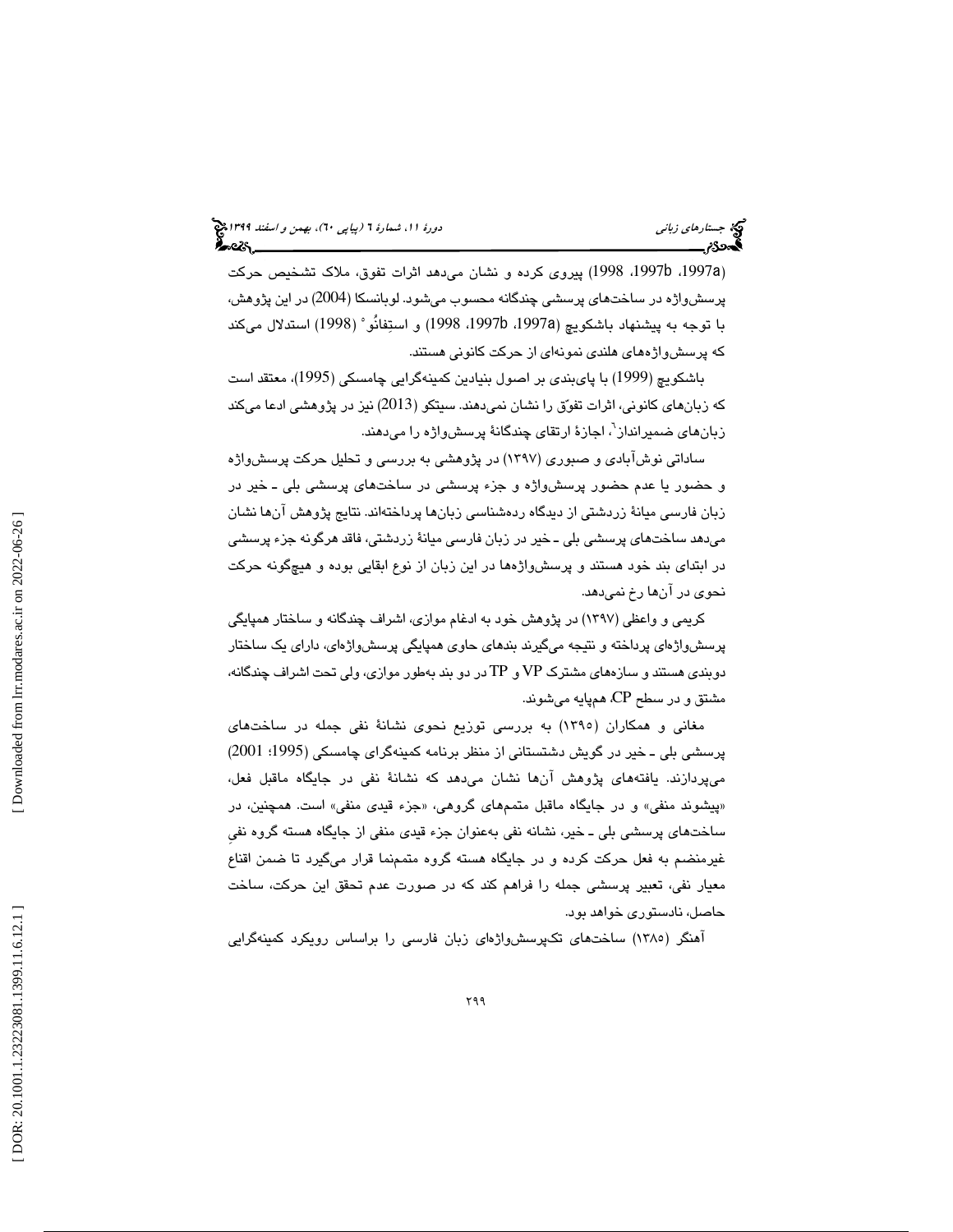،1997 1998) پيروي كرده و نشان ميدهد اثرات تفوق، ملاك تشخيص حركت b ،1997 a ) پرسشواژه در ساختهاي پرسشي چندگانه محسوب ميشود. لوبانسكا (2004) در اين پژوهش، با توجه به پیشنهاد باشكویچ (1997a، 1997b، 1998) و استِفانُو ْ (1998) استدلال میكند كه پرسشواژههاي هلندي نمونهاي از حركت كانوني هستند.

باشكويچ (1999) با پايبندي بر اصول بنيادين كمينهگرايي چامسكي (1995)، معتقد است كه زبانهاي كانوني، اثرات تفوق را نشان نميدهند. سيتكو (2013) نيز در پژوهشي ادعا مي كند زبان *ه*ای ضمیرانداز<sup>י</sup>، اجازهٔ ارتقای چندگانهٔ پرسشواژه را میدهند.

ساداتی نوش!بادی و صبوری (۱۳۹۷) در پژوهشی به بررسی و تحلیل حرکت پرسشواژه و حضور يا عدم حضور پرسشواژه و جزء پرسشي در ساختهاي پرسشي بلي ـ خير در زبان فارسي ميانة زردشتي از ديدگاه ردهشناسي زبانها پرداختهاند. نتايج پژوهش آنها نشان ميدهد ساختهاي پرسشي بلي ـ خير در زبان فارسي ميانة زردشتي، فاقد هرگونه جزء پرسشي در ابتداي بند خود هستند و پرسشواژهها در اين زبان از نوع ابقايي بوده و هيچگونه حركت نحوي در آنها رخ نميدهد.

كريمي و واعظي (1397) در پژوهش خود به ادغام موازي، اشراف چندگانه و ساختار همپايگي پرسشواژهاي پرداخته و نتيجه ميگيرند بندهاي حاوي همپايگي پرسشواژهاي، داراي يك ساختار دوبندي هستند و سازههاي مشترك VP و TP در دو بند بهطور موازي، ولي تحت اشراف چندگانه، مشتق و در سطح CP، همپايه ميشوند.

مغانی و همکاران (۱۳۹۰) به بررسی توزیع نحوی نشانهٔ نفی جمله در ساختهای پرسشي بلي ـ خير در گويش دشتستاني از منظر برنامه كمينهگراي چامسكي (1995؛ 2001) ميپردازند. يافتههاي پژوهش آن ها نشان ميدهد كه نشان ة نفي در جايگاه ماقبل فعل، «پیشوند منفی» و در جایگاه ماقبل متممهای گروهی، «جزء قیدی منفی» است. همچنین، در ساختهاي پرسشي بلي ـ خير، نشانه نفي بهعنوان جزء قيدي منفي از جايگاه هسته گروه نفيِ غيرمنضم به فعل حركت كرده و در جايگاه هسته گروه متممنما قرار ميگيرد تا ضمن اقناع معيار نفي، تعبير پرسشي جمله را فراهم دكن كه در صورت عدم تحقق اين حركت، ساخت حاصل، نا دستوري خواهد بود .

آهنگر (1385) ساختهاي تكپرسشواژهاي زبان فارسي را براساس رويكرد كمينهگرايي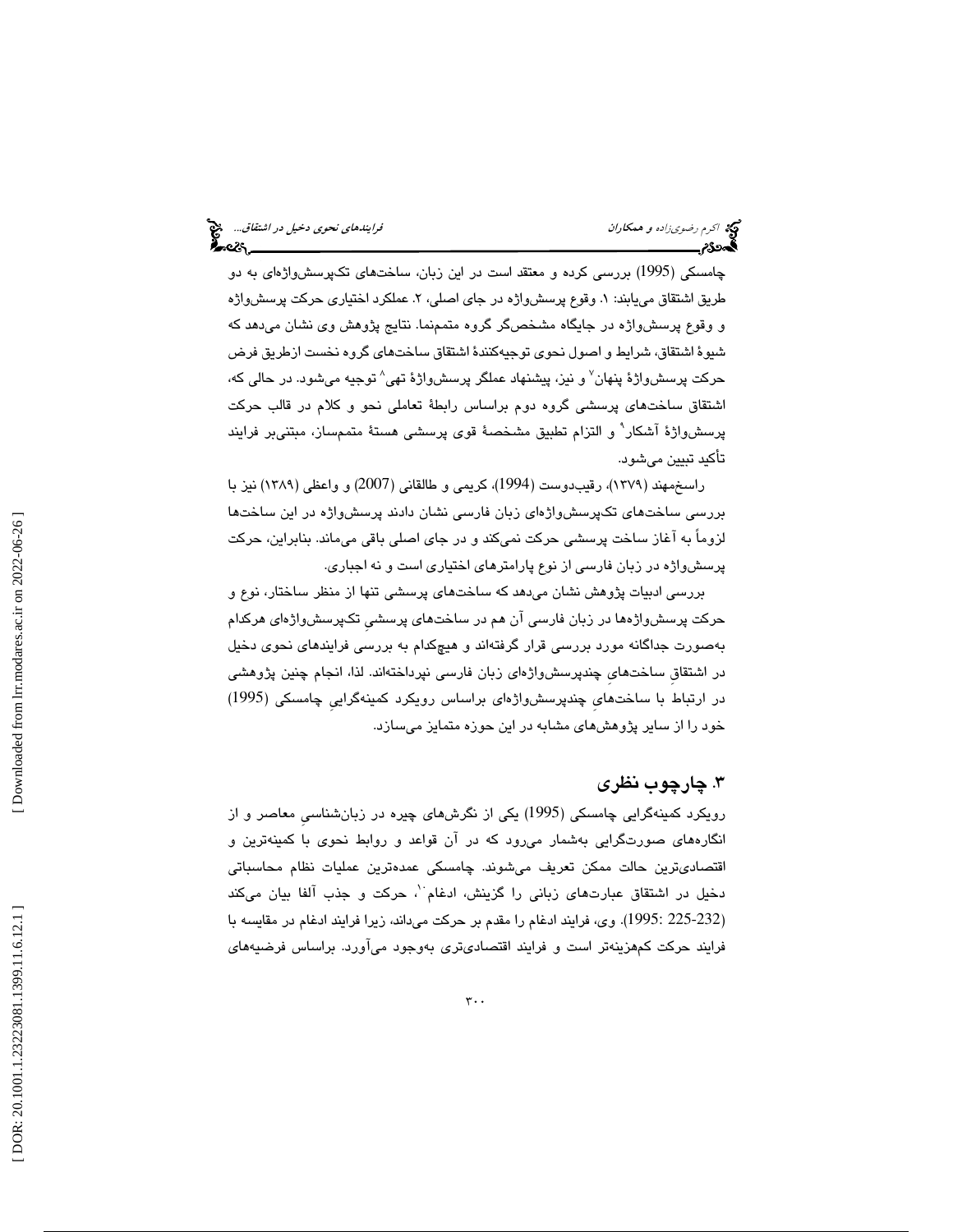چامسکی (1995) بررسی کرده و معتقد است در این زبان، ساختهای تکپرسشواژهای به دو طريق اشتقاق میLبابند: ۱. وقوع پرسشواژه در جای اصلی، ۲. عملکرد اختیاری حرکت پرسشواژه و وقوع پرسشواژه در جايگاه مشخصگر گروه متممنما. نتايج پژوهش وي نشان ميدهد كه شيو ة اشتقاق، شرايط و اصول نحوي توجيهكنند ة اشتقاق ساختهاي گروه نخست ازطريق فرض حرکت پرسش٫واژهٔ پنهان<sup>۷</sup> و نیز، پیشنهاد عملگر پرسش٫اژهٔ تهی^ توجیه میشود. در حالی که، اشتقاق ساختهاي پرسشي گروه دوم براساس رابط ة تعاملي نحو و كلام در قالب حركت پرسشواژهٔ آشکار<sup>۹</sup> و التزام تطبیق مشخصهٔ قوی پرسشی هستهٔ متممساز، مبتنی<sub>ب</sub>ر فرایند تأكيد تبيين مي شود.

راسخمهند (1379)، رقيبدوست (1994)، كريمي و طالقاني (2007) و واعظي (1389) نيز با بررسي ساختهاي تكپرسشواژهاي زبان فارسي نشان دادند پرسشواژه در اين ساختها لزوماً به آغاز ساخت پرسشي حركت نميكند و در جاي اصلي باقي ميماند. بنابراين، حركت پرسشواژه در زبان فارسي از نوع پارامترهاي اختياري است و نه اجباري.

بررسي ادبيات پژوهش نشان ميدهد كه ساختهاي پرسشي تنها از منظر ساختار، نوع و حركت پرسشواژهها در زبان فارسي آن هم در ساختهاي پرسشيِ تكپرسشواژهاي هركدام بهصورت جداگانه مورد بررسي قرار گرفتهاند و هيچكدام به بررسي فرايندهاي نحوي دخيل در اشتقاقِ ساختهايِ چندپرسشواژهاي زبان فارسي نپرداختهاند. لذا، انجام چنين پژوهشي در ارتباط با ساختهايِ چندپرسشواژهاي براساس رويكرد كمينهگراييِ چامسكي (1995) خود را از ساير پژوهشهاي مشابه در اين حوزه متمايز ميسازد.

# . چارچوب نظري 3

رويكرد كمينهگرايي چامسكي (1995) يكي از نگرشهاي چيره در زبانشناسيِ معاصر و از انگارههاي صورتگرايي به شمار ميرود كه در آن قواعد و روابط نحوي با كمينهترين و اقتصاديترين حالت ممكن تعريف ميشوند . چامسكي عمدهترين عمليات نظام محاسباتي دخيل در اشتقاق عبارتهاى زبانى را گزينش، ادغام<sup>. (</sup>، حركت و جذب آلفا بيان مىكند (225-232 :1995). وي، فرايند ادغام را مقدم بر حركت ميداند، زيرا فرايند ادغام در مقايسه با فرايند حركت كمهزينهتر است و فرايند اقتصاديتري بهوجود ميآورد. براساس فرضيههاي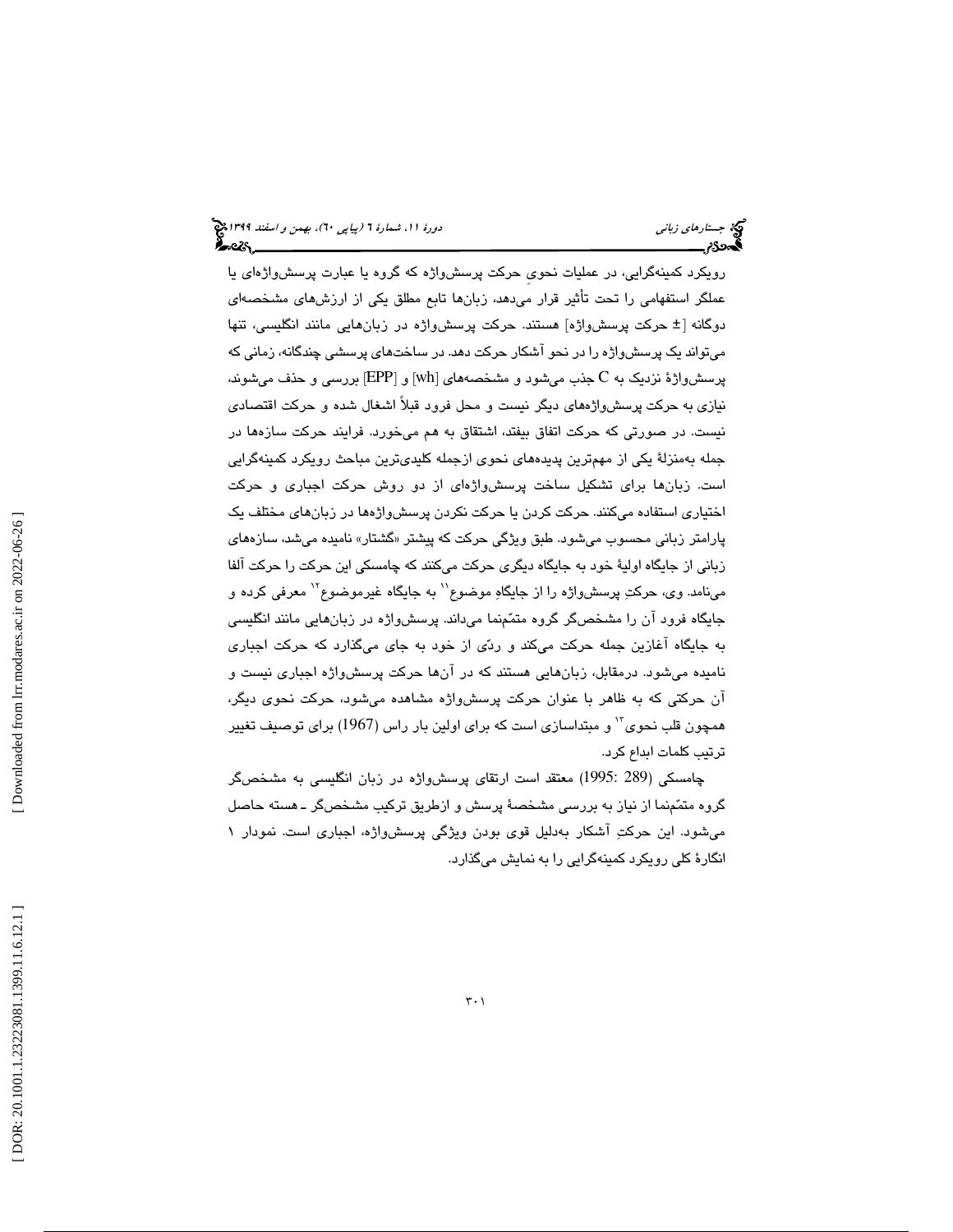رويكرد كمينهگرايي، در عمليات نحويِ حركت پرسشواژه كه گروه يا عبارت پرسشواژهاي يا عملگر استفهامي را تحت تأثير قرار ميدهد، زبانها تابع مطلق يكي از ارزشهاي مشخصهاي حركت پرسشواژه] هستند. حركت پرسشواژه در زبانهايي مانند انگليسي، تنها دوگانه [± ميتواند يك پرسشواژه را در نحو آشكار حركت دهد. در ساختهاي پرسشي چندگانه، زماني كه پرسشواژهٔ نزدیک به C جذب میشود و مشخصههای [wh] و [EPP] بررسی و حذف میشوند، نيازي به حركت پرسشواژههاي ديگر نيست و محل فرود قبلاً اشغال شده و حركت اقتصادي نيست. در صورتي كه حركت اتفاق بيفتد، اشتقاق به هم ميخورد. فرايند حركت سازهها در جمله بهمنزلة يكي از مهمترين پديدههاي نحوي ازجمله كليديترين مباحث رويكرد كمينهگرايي است. زبانها براي تشكيل ساخت پرسشواژهاي از دو روش حركت اجباري و حركت اختياري استفاده ميكنند. حركت كردن يا حركت نكردن پرسشواژه ها در زبانهاي مختلف ي ك پارامتر زبانی محسوب میشود. طبق ویژگی حرکت که پیشتر «گشتار» نامیده میشد، سازهفای زباني از جايگاه اولية خود به جايگاه ديگري حركت ميكنند كه چامسكي اين حركت را حركت آلفا مینامد. وی، حرکتِ پرسشواژه را از جایگاهِ موضوع`` به جایگاه غیرموضوع`` معرفی کرده و جايگاه فرود آن را مشخصگر گروه متممنما ميداند. پرسشواژه در زبانهايي مانند انگليسي به جايگاه آغازين جمله حركت ميكند و ردي از خود به جاي ميگذارد كه حركت اجباري ناميده ميشود. درمقابل، زبانهايي هستند كه در آنها حركت پرسشواژه اجباري نيست و آن حركتي كه به ظاهر با عنوان حركت پرسشواژه مشاهده ميشود، حركت نحوي ديگر، همچون قلب نحوي<sup>٦٠</sup> و مبتداسازي است كه براي اولين بار راس (1967) براي توصيف تغيير ترتيب كلمات ابداع كرد.

چامسكي (289 1995:) معتقد است ارتقاي پرسشواژه در زبان انگليسي به مشخصگر گروه متمّمنما از نياز به بررسي مشخصهٔ پرسش و ازطريق تركيب مشخصگر ـ هسته حاصل ميشود. اين حركت آشكار بهدليل قوي بودن ويژگي پرسشواژه، اجباري است. نمودار 1 انگارة كلي رويكرد كمينهگرايي را به نمايش ميگذارد.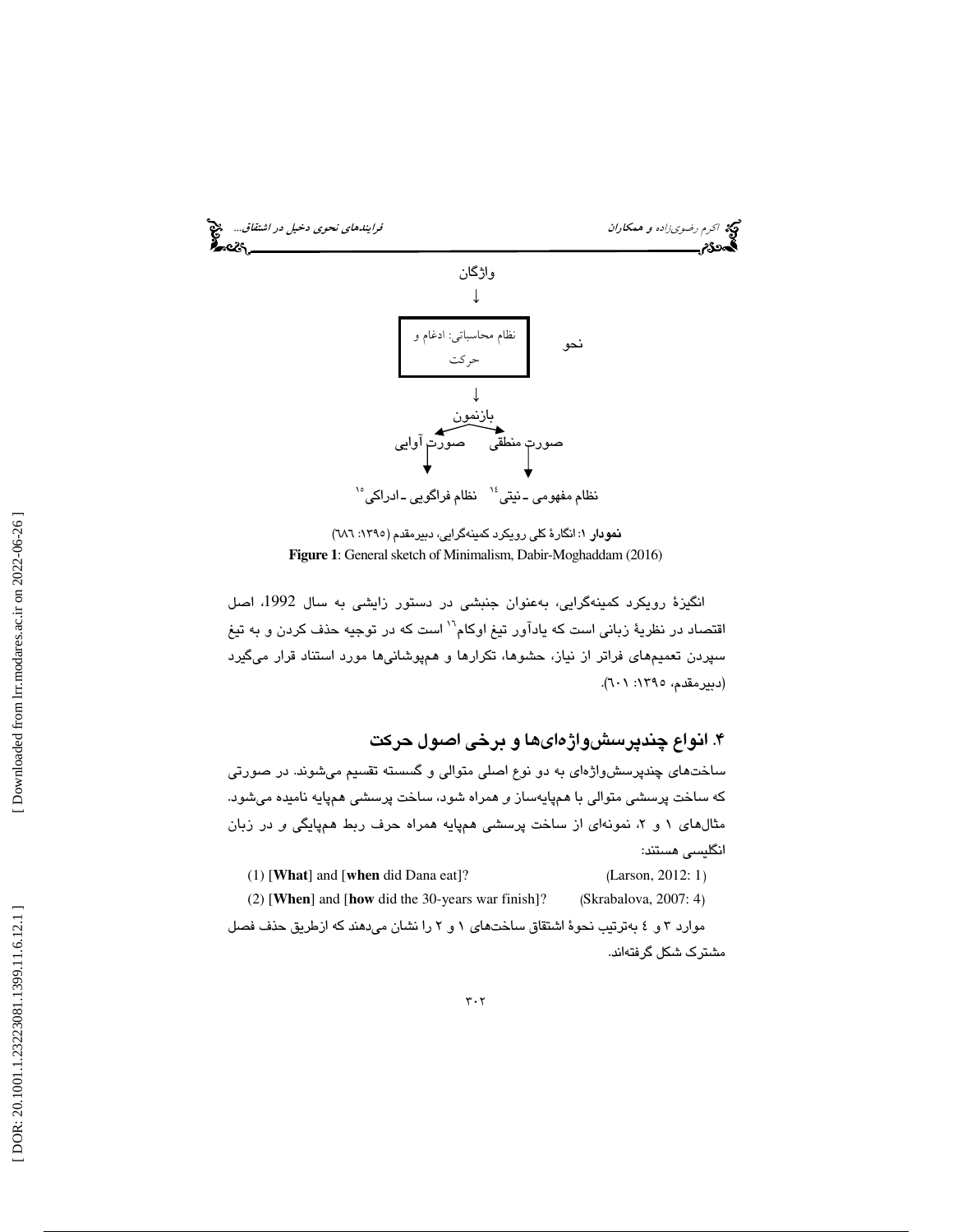

نمودار ١: انگارهٔ كلي رويكرد كمينهگرايي، دبيرمقدم (١٣٩٥: ٦٨٦) **Figure 1**: General sketch of Minimalism, Dabir-Moghaddam (2016)

انگيزة رويكرد كمينهگرايي، بهعنوان جنبشي در دستور زايشي به سال ،1992 اصل اقتصاد در نظريهٔ زبان*ی* است كه يادآور تيغ اوكام<sup>۱٬۲</sup> است كه در توجيه حذف كردن و به تيغ سپردن تعميمهاي فراتر از نياز، حشوها، تكرارها و همپوشانيها مورد استناد قرار ميگيرد (دبيرمقدم، ١٣٩٥: ٢٠١).

۴. انواع چندپرسشواژهایها و برخی اصول حرکت

ساختهاي چندپرسشواژهاي به دو نوع اصلي متوالي و گسسته تقسيم ميشوند. در صورتي كه ساخت پرسشى متوالى با همپايهساز *و* همراه شود، ساخت پرسشى همپايه ناميده مىشود. مثالهای ۱ و ۲، نمونهای از ساخت پرسشی همپایه همراه حرف ربط همپایگی *و* در زبان انگليسي هستند:

| $(1)$ [What] and [when did Dana eat]?                                            | (Larson, 2012: 1)     |
|----------------------------------------------------------------------------------|-----------------------|
| $(2)$ [When] and [how did the 30-years war finish]?                              | (Skrabalova, 2007: 4) |
| موارد ۳ و ٤ بهترتیب نحوهٔ اشتقاق ساختهای ۱ و ۲ را نشان می،دهند که ازطریق حذف فصل |                       |
|                                                                                  | مشترک شکل گرفتهاند.   |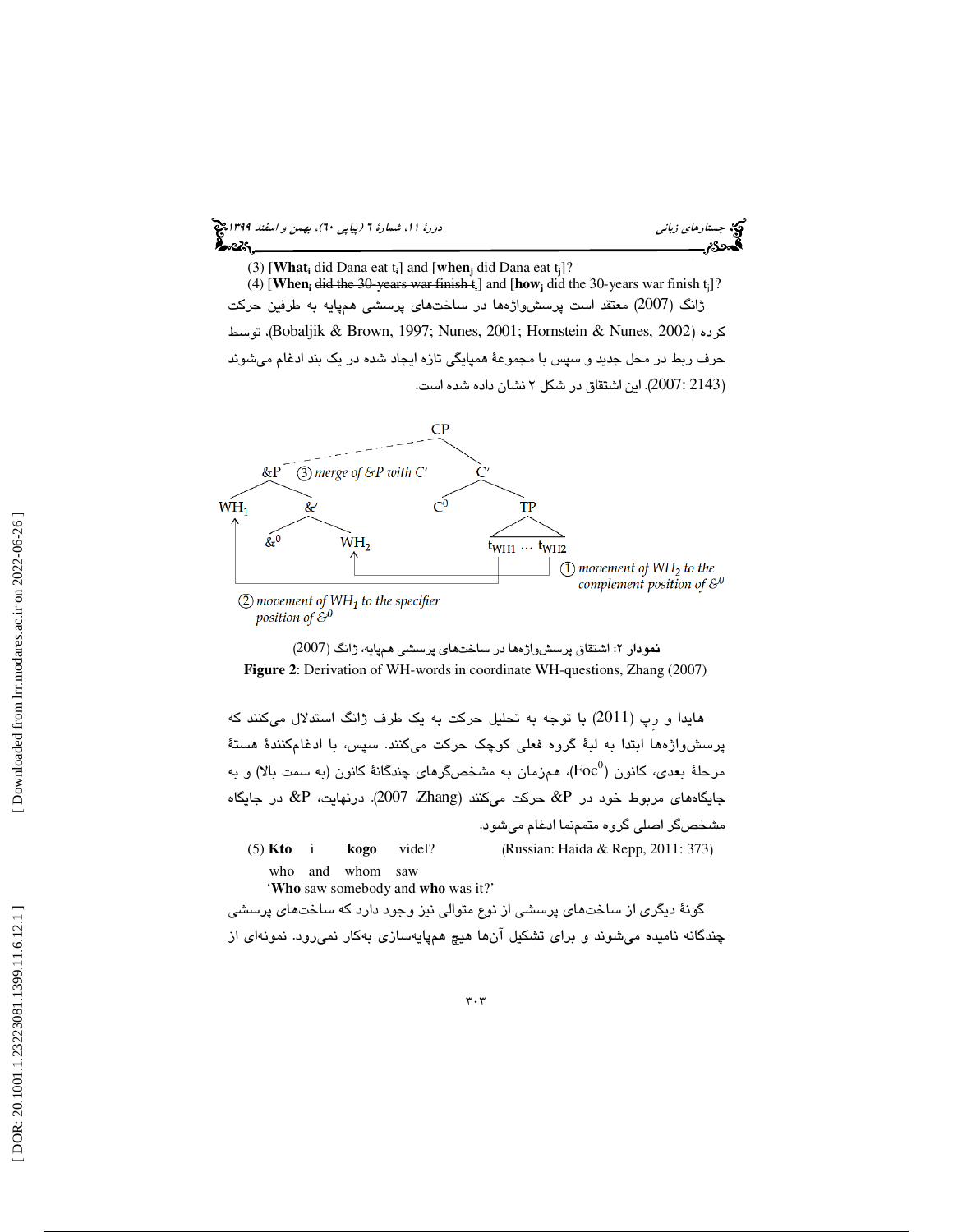

(3) [What<sub>i</sub> did Dana eat t<sub>i</sub>] and [when<sub>j</sub> did Dana eat t<sub>j</sub>]?

(4) [**When**<sub>i</sub> did the 30-years war finish  $t_i$ ] and [how<sub>j</sub> did the 30-years war finish  $t_j$ ]? ژانگ (2007) معتقد است پرسشواژهها در ساختهاي پرسشي همپايه به طرفين حركت توسط ،)Bobaljik & Brown, 1997; Nunes, 2001; Hornstein & Nunes, 2002) كرده حرف ربط در محل جديد و سپس با مجموعة همپايگي تازه ايجاد شده در يك بند ادغام ميشوند 2143 2007:). اين اشتقاق در شكل 2 نشان داده شده است. )



 $(2)$  movement of WH<sub>1</sub> to the specifier position of  $\mathcal{E}^0$ 

: اشتقاق پرسشواژهها در ساختهاي پرسشي همپايه، ژانگ (2007) نمودار 2 **Figure 2**: Derivation of WH-words in coordinate WH-questions, Zhang (2007)

هايدا و رِپ (2011) با توجه به تحليل حركت به يك طرف ژانگ استدلال ميكنند كه پرسشواژهها ابتدا به لبة گروه فعلي كوچك حركت ميكنند. سپس، با ادغامكنندة هستة مرحلهٔ بعدی، کانون ( ${\rm Foc}^0$ )، همزمان به مشخصگرهای چندگانهٔ کانون (به سمت بالا) و به جايگاههاى مربوط خود در  $\& {\rm P}$  حركت مىكنند (Zhang). 2007. درنهايت،  $\& {\rm P}$  در جايگاه مشخصگر اصلي گروه متمم نما ادغام ميشود. (5) **Kto** i **kogo** videl? (Russian: Haida & Repp, 2011: 373) who and whom saw

'**Who** saw somebody and **who** was it?'

گونة ديگري از ساختهاي پرسشي از نوع متوالي نيز وجود دارد كه ساختهاي پرسشي چندگانه نامیده میشوند و برای تشکیل انها هیچ همپایهسازی بهکار نمیرود. نمونهای از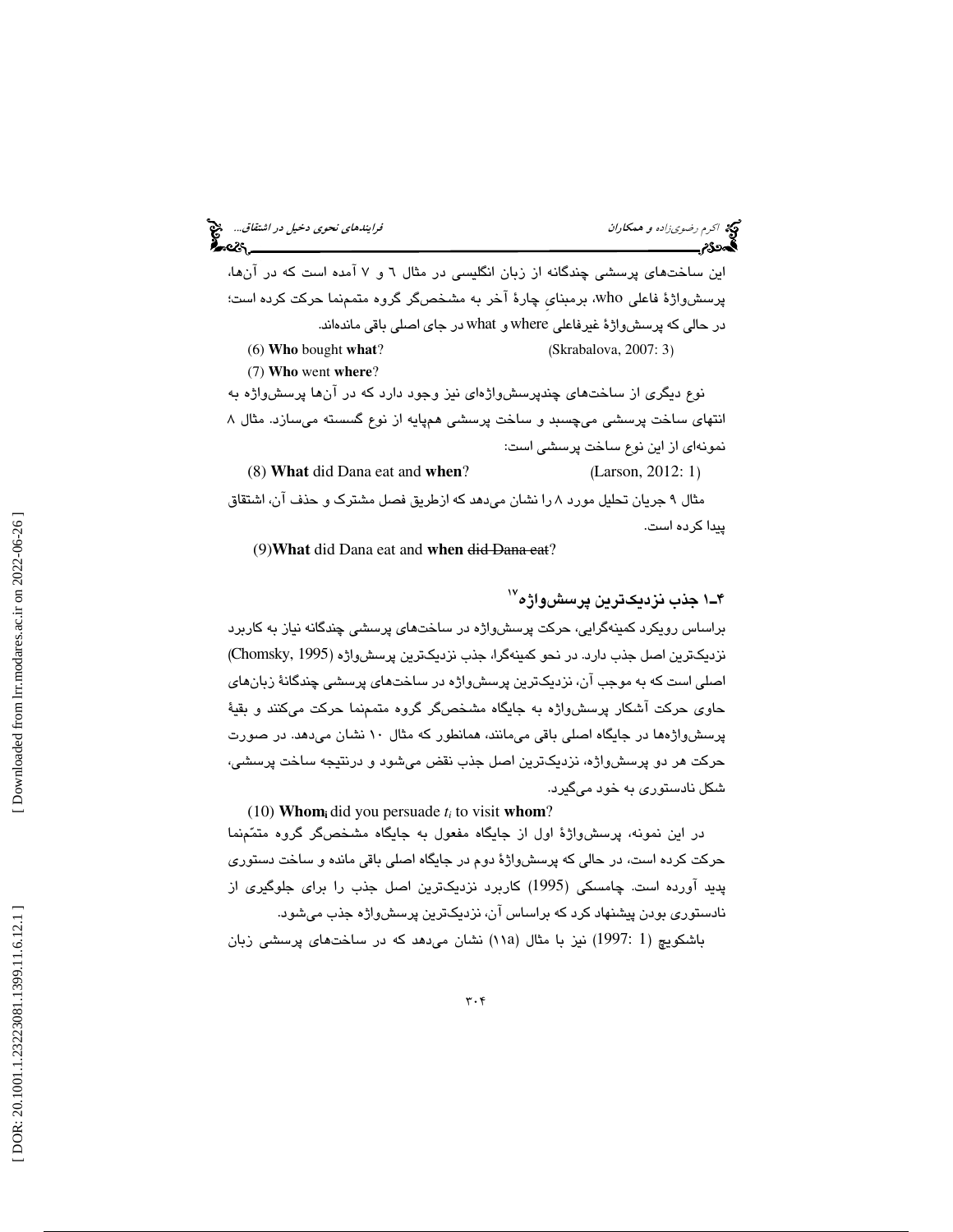اكرم رضوىزاده و همكاران فرايندهاي نحوي دخيل در اشتقاق... هي نحوي دخيل در اشتقاق... هي نحوي دخيل در اشتقاق... ه<br>**اگه دو نهر استان استان نحوي استان به نماي**د استان استان استان نحوي استان نحوي در اشتقاق... هي نحوي استان نحوي اين ساختهاي پرسشي چندگانه از زبان انگليسي در مثال 6 7و آمده است كه در آنها، پرسشواژة فاعلي who، برمبنايِ چارة آخر به مشخصگر گروه متممنما حركت كرده است؛ در حالي كه پرسشواژة غيرفاعلي where و what در جاي اصلي باقي ماندهاند. (6) **Who** bought **what** ? (Skrabalova, 2007: 3) (7) **Who** went **where**? نوع ديگري از ساختهاي چندپرسشواژهاي نيز وجود دارد كه در آنها پرسشواژه به انتهاي ساخت پرسشي ميچسبد و ساخت پرسشي همپايه از نوع گسسته ميسازد. مثال 8 نمونهاي از اين نوع ساخت پرسشي است: (8) **What** did Dana eat and **when**? (Larson, 2012: 1) مثال 9 جريان تحليل مورد 8 را نشان ميدهد كه ازطريق فصل مشترك و حذف آن ، اشتقاق پيدا كرده است.

(9)**What** did Dana eat and **when** did Dana eat?

۴ــ۱ جذب نزديكترين پرسش $\mathfrak{g}$ ا جذب نزديك براساس رويكرد كمينهگرايي، حركت پرسشواژه در ساختهاي پرسشي چندگانه نياز به كاربرد نزديكترين اصل جذب دارد. در نحو كمينهگرا، جذب نزديكترين پرسشواژه (1995 ,Chomsky( اصلي است كه به موجب آن، نزديكترين پرسشواژه در ساختهاي پرسشي چندگانة زبانهاي حاوي حركت آشكار پرسشواژه به جايگاه مشخصگر گروه متممنما حركت ميكنند و بقية پرسشواژهها در جايگاه اصلي باقي ميمانند، همانطور كه مثال 10 نشان ميدهد. در صورت حركت هر دو پرسشواژه، نزديكترين اصل جذب نقض ميشود و درنتيجه ساخت پرسشي، شكل نادستوري به خود ميگيرد.

(10) **Whom**<sub>i</sub> did you persuade  $t_i$  to visit whom?

در اين نمونه، پرسشواژة اول از جايگاه مفعول به جايگاه مشخصگر گروه متممنما حركت كرده است، در حالي كه پرسشواژة دوم در جايگاه اصلي باقي مانده و ساخت دستوري پديد آورده است. چامسكي (1995) كاربرد نزديكترين اصل جذب را براي جلوگيري از نادستوري بودن پيشنهاد كرد كه براساس آن، نزديكترين پرسشواژه جذب ميشود.

باشكويچ (1 :1997) نيز با مثال (١١a) نشان مىدهد كه در ساختهاى پرسشى زبان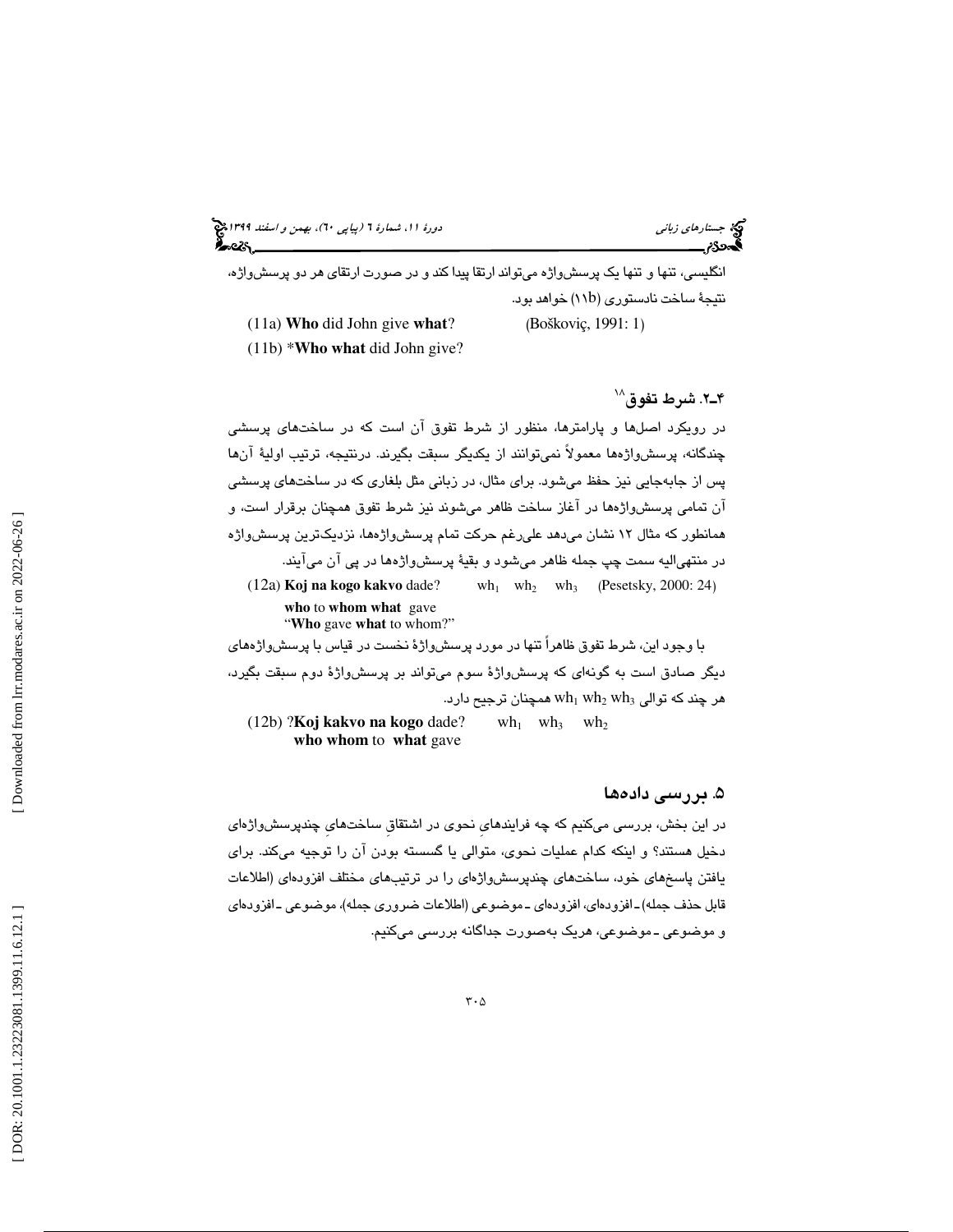(پياپي 60)، بهمن و اسفند 1399 جستارهاي زباني دورة ،11 شمارة 6

انگليسي، تنها و تنها يك پرسشواژه ميتواند ارتقا پيدا كند و در صورت ارتقاي هر دو پرسشواژه، 11) خواهد بود. نتيجة ساخت نادستوري (b (11a) **Who** did John give **what** ? (Boškoviç, 1991: 1 )

(11b) \***Who what** did John give?

2.ـ4 شرط تفوق 18

در رويكرد اصلها و پارامترها، منظور از شرط تفوق آن است كه در ساختهاي پرسشي چندگانه، پرسشواژه ها معمولاً نميتوانند از يكديگر سبقت بگيرند. درنتيجه، ترتيب اولية آنها پس از جابهجايي نيز حفظ ميشود. براي مثال، در زباني مثل بلغاري كه در ساختهاي پرسشي آن تمامي پرسشواژهها در آغاز ساخت ظاهر ميشوند نيز شرط تفوق همچنان برقرار است، و همانطور كه مثال 12 نشان ميدهد عليرغم حركت تمام پرسشواژه ها، نزديكترين پرسشواژه در منتهياليه سمت چپ جمله ظاهر ميشود و بقية پرسشواژهها در پي آن ميآيند. (12a) **Koj na kogo kakvo** dade? wh  $_{1}$  wh<sub>2</sub> wh<sub>3</sub> (Pesetsky, 2000: 24) **who** to **whom what** gave "**Who** gave **what** to whom?"

با وجود اين، شرط تفوق ظاهراً تنها در مورد پرسشواژة نخست در قياس با پرسشواژههاي ديگر صادق است به گونهاي كه پرسشواژة سوم ميتواند بر پرسشواژة دوم سبقت بگيرد، هر چند که توالی  $\th_1\th_2$  wh همچنان ترجیح دارد. (12b) ?**Koj kakvo na kogo** dade? wh  $_1$  wh<sub>3</sub> wh<sub>2</sub>

**who whom** to **what** gave

# . 5 بررسي داده ها

در اين بخش، بررسي ميكنيم كه چه فرايندهايِ نحوي در اشتقاقِ ساختهايِ چندپرسشواژه اي دخيل هستند؟ و اينكه كدام عمليات نحوي، متوالي يا گسسته بودن آن را توجيه ميكند. براي يافتن پاسخهاي خود، ساختهاي چندپرسشواژه اي را در ترتيبهاي مختلف افزودهاي (اطلاعات قابل حذف جمله)ـ افزودهاي، افزودهاي ـ موضوعي (اطلاعات ضروري جمله)، موضوعي ـ افزودهاي و موضوعي ـ موضوعي، هريك بهصورت جداگانه بررسي ميكنيم.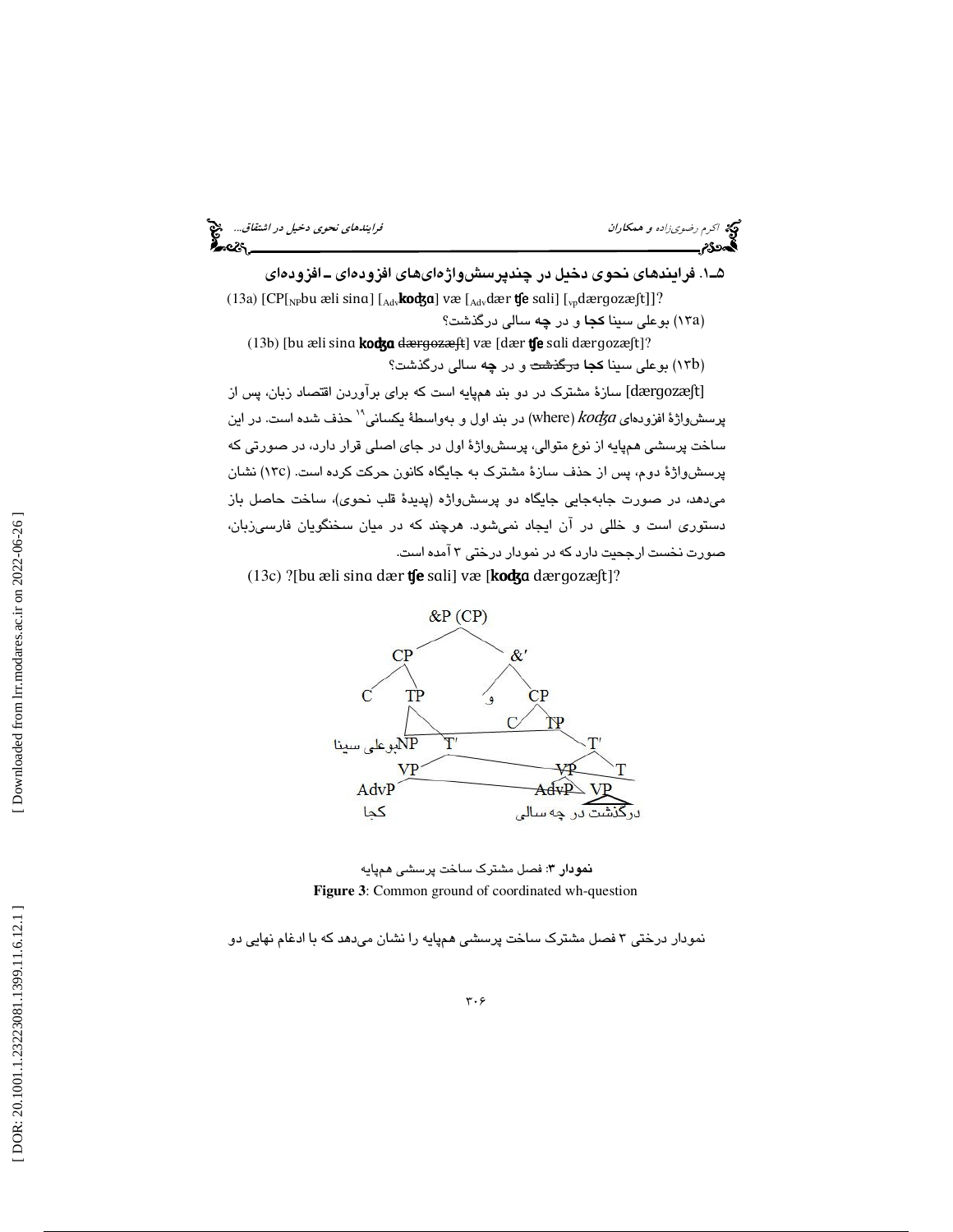اكرم اكرم رضوىزاده و همكاران المستخدمات المرايندهاي نحوي دخيل در اشتقاق... المراجع<br>**المجموع در استخدام المراجع در استخدام المراجع در استخدام المراجع در استخدام المراجع در استفاق...**<br>**المجموع در استخدام المراجع المراجع الم** 1ـ5 . فرايندهاي نحوي دخيل در چندپرسشواژهايهاي افزودهاي ـ افزودهاي (13a)  $[CP[_NP$ bu æli sina]  $[{}_{\text{Adv}}$ **ko** $kg$ a] væ $[{}_{\text{Adv}}$ dær  $f$ e sali]  $[{}_{\text{vp}}$ dærgozæ $ft]$ ]? (۱۳a) بوعلی سینا **کجا** و در **چ**ه سالی درگذشت؟ (13b) [bu æli sina kodga dærgozæft] væ [dær tfe sali dærgozæft]? (۱۳b) بوعلی س<mark>ینا کجا</mark> <del>درگذشت</del> و در **چه** سالی درگذشت؟ سازة مشترك در دو بند همپايه است كه براي برآوردن اقتصاد زبان، پس از [dærɡozæʃt] پرسشواژهٔ افزودهای where) kodga) در بند اول و بهواسطهٔ یکسانی'' حذف شده است. در این ساخت پرسشي همپايه از نوع متوالي، پرسشواژة اول در جاي اصلي قرار دارد، در صورتي كه 13) نشان c پرسشواژة دوم، پس از حذف سازة مشترك به جايگاه كانون حركت كرده است. ( ميدهد، در صورت جابهجايي جايگاه دو پرسشواژه (پديدة قلب نحوي)، ساخت حاصل باز

دستوري است و خللي در آن ايجاد نميشود. هرچند كه در ميان سخنگويان فارسيزبان، صورت نخست ارجحيت دارد كه در نمودار درختي 3 آمده است.

(13c) ?[bu æli sina dær  $f$ e sali] væ [kod $f$ a dærgozæ $f$ t]?





نمودار درختي 3 فصل مشترك ساخت پرسشي همپايه را نشان ميدهد كه با ادغام نهايي دو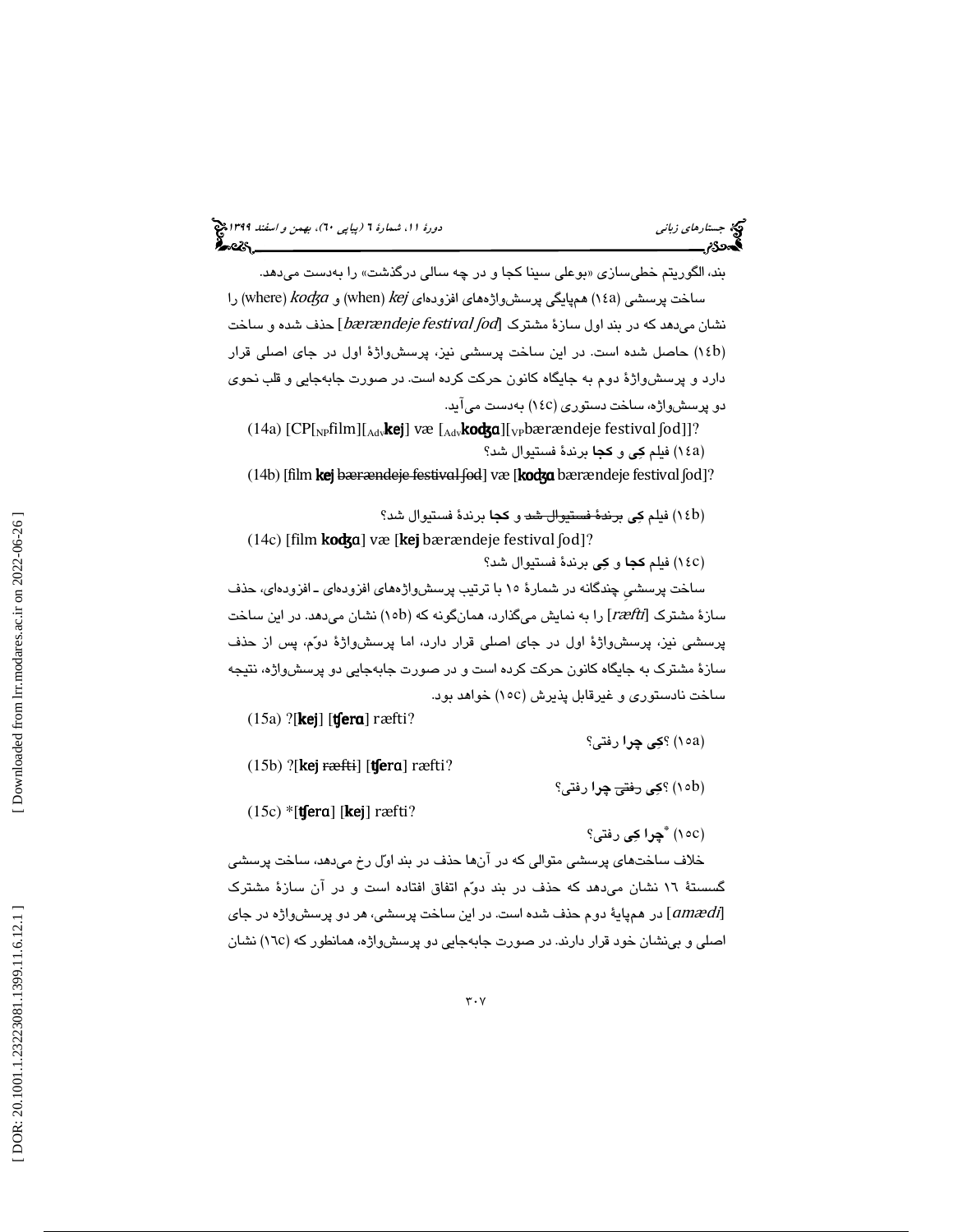بند، الگوريتم خطیسازی «بوعلی سبنا کجا و در چه سالی درگذشت» را بهدست میدهد. را (۱٤a) همپايگى پرسش،واژههاى افزودهاى (when)  $kej$  (when) را (where) ساخت پرسشى ( نشان میدهد که در بند اول سازهٔ مشترک [bærændeje festival ʃod] حذف شده و ساخت 14) حاصل شده است. در اين ساخت پرسشي نيز، پرسشواژة اول در جاي اصلي قرار b ) دارد و پرسشواژة دوم به جايگاه كانون حركت كرده است. در صورت جابهجايي و قلب نحوي دو پرسشواژه، ساخت دستوری (١٤c) بهدست میآید.

(14a)  $[CP[<sub>NP</sub>film][<sub>Adv</sub>kej]$  væ  $[<sub>Adv</sub>kođga][<sub>VP</sub>barrandeje festival [od]]$ ? (١٤a) فيلم **كِي و كجا** برندهٔ فستيوال شد؟

(14b) [film kej bærændeje festival fod] væ [kodga bærændeje festival fod]?

(١٤b) فيلم **كِي** <del>برندهٔ فستيوال شد</del> و **كجا** برندهٔ فستيوال شد؟ (14c) [film **koʤɑ**] væ [**kej** bærændeje festival  $[od]$ ?

14) فيلم كجا و كي برندة فستيوال شد؟ c )

ساخت پرسشيِ چندگانه در شمارة 15 با ترتيب پرسشواژههاي افزودهاي ـ افزودهاي، حذف سازهٔ مشترک [ræfti] را به نمایش میگذارد، همانگونه که (١٥b) نشان میدهد. در این ساخت پرسشی نیز، پرسشواژهٔ اول در جای اصلی قرار دارد، اما پرسشواژهٔ دوّم، پس از حذف سازة مشترك به جايگاه كانون حركت كرده است و در صورت جابهجايي دو پرسشواژه، نتيجه ساخت نادستوری و غیرقابل پذیرش (١٥c) خواهد بود.

(15a) ?[kej] [ʧerɑ] ræfti?

15) ؟كي چرا رفتي؟ a )

 $(15b)$  ?[kej ræfti] [t $f$ era] ræfti?

(۱۰<mark>b) ؟کِی <del>رفتی</del> چِرا</mark> رفتی؟

 $(15c)$  \*[**tfera**] [**kej**] ræfti?

15 ( c ) \* چرا كي رفتي؟

خلاف ساختهاي پرسشي متوالي كه در آنها حذف در بند اول رخ ميدهد، ساخت پرسشي گسستة 16 نشان ميدهد كه حذف در بند دوم اتفاق افتاده است و در آن سازة مشترك در همپاية دوم حذف شده است. در اين ساخت پرسشي، هر دو پرسشواژه در جاي [ɑmædi] اصلی و بینشان خود قرار دارند. در صورت جابهجایی دو پرسشواژه، همانطور که (١٦c) نشان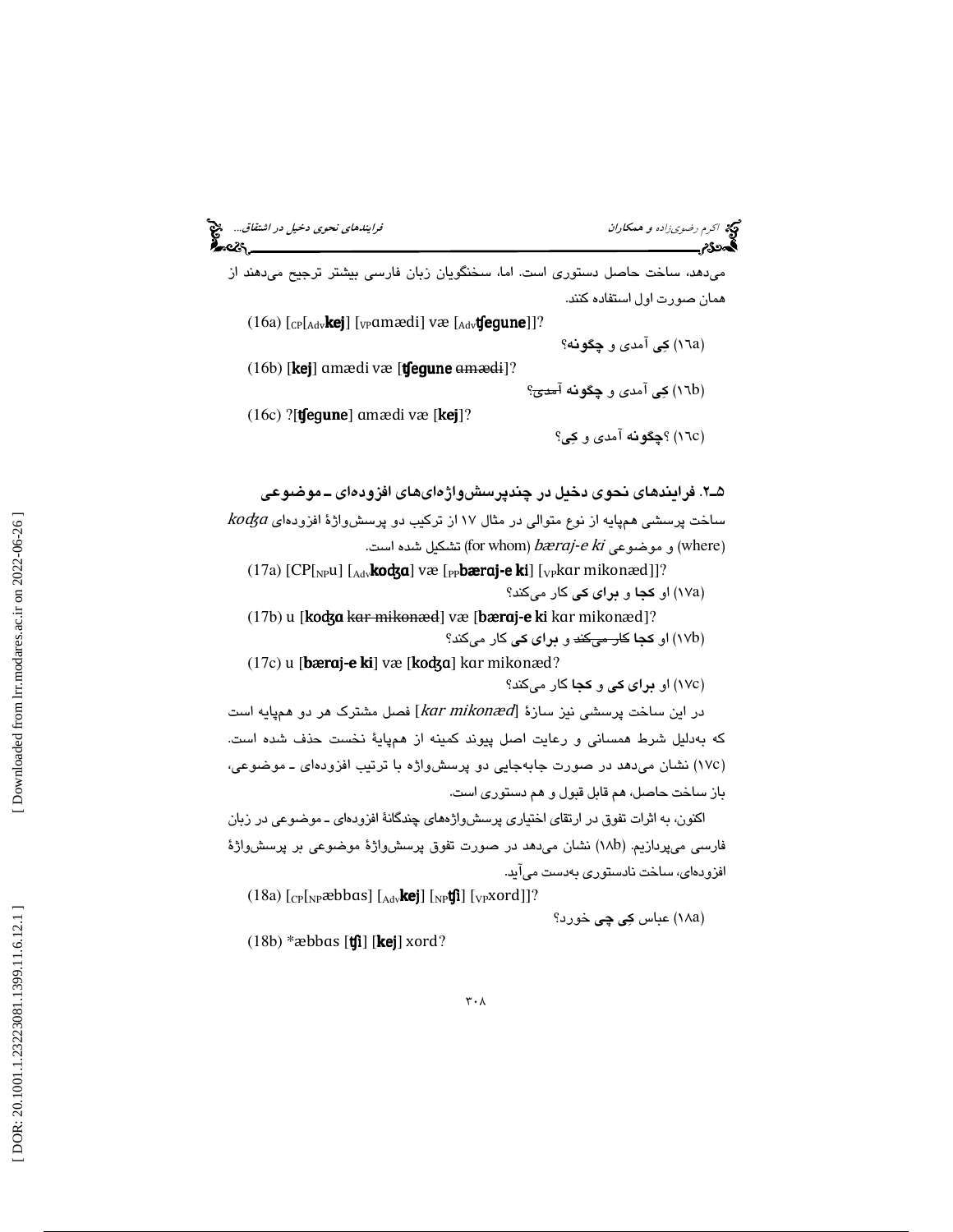ميدهد، ساخت حاصل دستوري است. اما، سخنگويان زبان فارسي بيشتر ترجيح ميدهند از همان صورت اول استفاده كنند .

(16a) [cp[<sub>Adv</sub>**kej**] [<sub>VP</sub>ɑmædi] væ [<sub>Adv</sub>**tʃegune**]]? ) 16 كي آمدي و چگونه ؟ a )  $(16b)$  [kej] amædi væ [t fegune  $\frac{16b}{2}$ 

(١٦b) کِی آمدی و چگ**ونه <del>آمدی</del>؟** 

(16c) ?[ʧeɡune] ɑmædi væ [kej]?

16) ؟چگونه آمدي و كي ؟ c )

2ـ5 . فرايندهاي نحوي دخيل در چندپرسشواژهايهاي افزوده اي ـ موضوعي  $\kappa o$ ساخت پرسشي همپايه از نوع متوالي در مثال ۱۷ از تركيب دو پرسش $e$ رژهٔ افزودهاي و موضوعی (where) bæraj-*e ki*) قشكيل شده است.  $\rho$ araj-*e ki* 

(17a) [CP[<sub>NP</sub>u] [<sub>Adv</sub>**kodza**] væ [<sub>PP</sub>**bæraj-e ki**] [<sub>VP</sub>kar mikonæd]]? (۱۷a) او <mark>كجا و براى كى</mark> كار مىكند؟

(17b) u [**koʤa** <del>kar mikonæd</del>] væ [**bæraj-e ki** kar mikonæd]? (۱۷<mark>b) او <mark>کجا</mark> ک<del>ار میکند</del> و **برای کی** کار میکند؟</mark>

(17c) u [**bæraj-e ki**] væ [**koʤa**] kar mikonæd? 17) او براي كي و كجا كار ميكند؟ c )

در اين ساخت پرسشي نيز سازهٔ [kar mikonæd] فصل مشترک هر دو همپايه است كه بهدليل شرط همساني و رعايت اصل پيوند كمينه از همپاية نخست حذف شده است. (١٧c) نشان میدهد در صورت جابهجایی دو پرسشواژه با ترتیب افزودهای ـ موضوعی، باز ساخت حاصل، هم قابل قبول و هم دستوري است.

اكنون، به اثرات تفوق در ارتقاي اختياري پرسشواژههاي چندگانة افزودهاي ـ موضوعي در زبان فارسي ميپردازيم. ( b18 (نشان ميدهد در صورت تفوق پرسشواژة موضوعي بر پرسشواژة افزودهاي، ساخت نادستوري بهدست ميآيد.

(18a) [<sub>CP</sub>[<sub>NP</sub>æbbɑs] [<sub>Adv</sub>**kej**] [<sub>NP</sub>ʧi] [<sub>VP</sub>xord]]?

(۱۸a) عباس <mark>كِي چي</mark> خورد؟

 $(18b)$  \*æbbas  $[\text{tfi}]$  [kej] xord?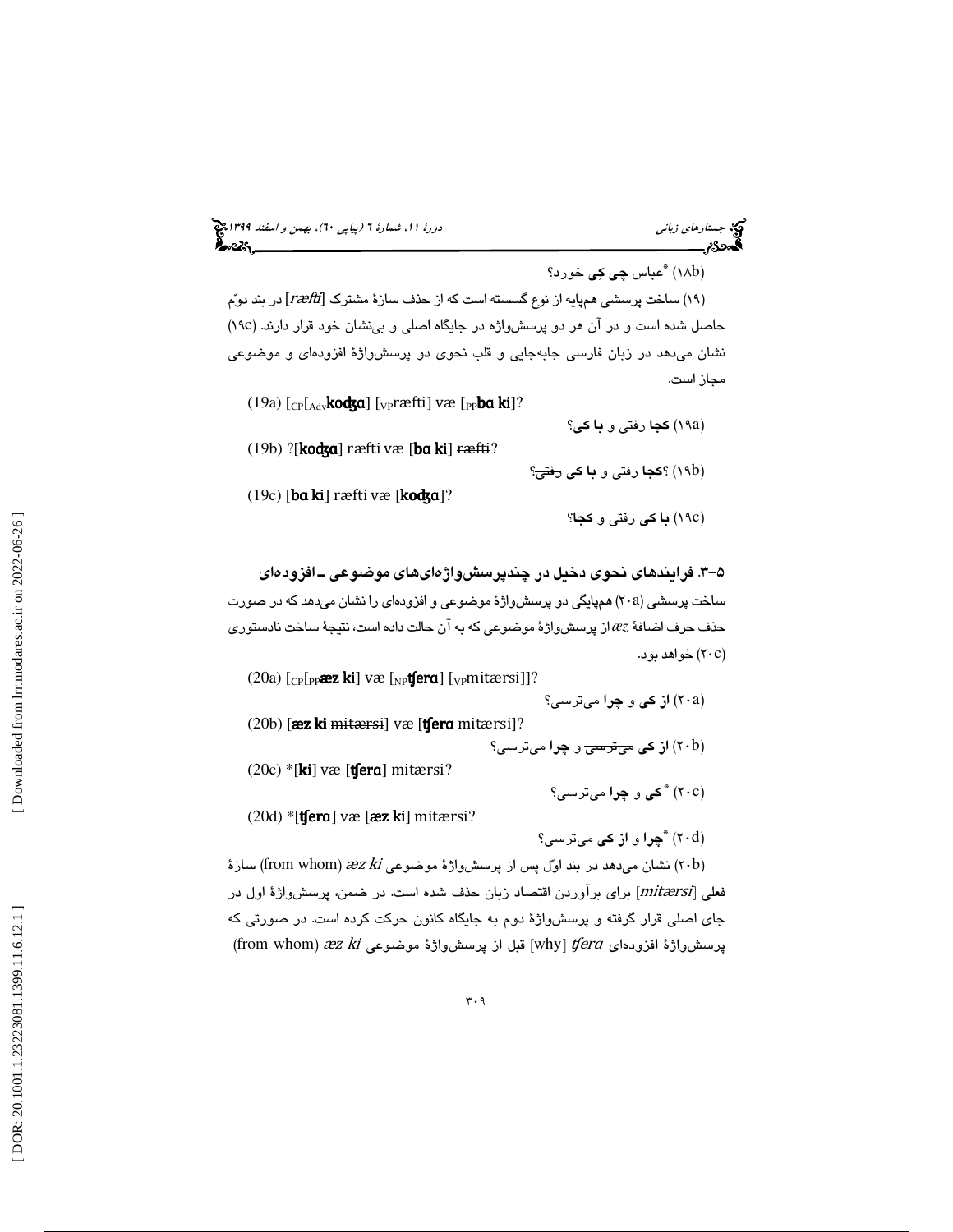# (پياپي 60)، بهمن و اسفند 1399 جستارهاي زباني دورة ،11 شمارة 6

(۱۸b) <sup>\*</sup>عباس **چی کِی** خورد؟

(١٩) ساخت پرسشى همپايه از نوع گسسته است كه از حذف سازهٔ مشترک [ræfti] در بند دوّم 19( حاصل شده است و در آن هر دو پرسشواژه در جايگاه اصلي و بينشان خود قرار دارند. (c نشان ميدهد در زبان فارسي جابهجايي و قلب نحوي دو پرسشواژة افزودهاي و موضوعي مجاز است.

- (19a) [<sub>CP</sub>[<sub>Adv</sub>**koʤɑ**] [<sub>VP</sub>ræfti] væ [<sub>PP</sub>**ba ki**]?
- (۱۹a) **كجا** رفتي و **با كي**؟ (19b) ?[koʤɑ] ræfti væ [bɑki] ræfti?
- (۱۹b) ؟**كجا** رفتى و **با كى** <del>رفتى</del>؟ (19c) [bɑki] ræfti væ [koʤɑ]?
	- (١٩c) **با كى** رفتى و **كجا**؟

-3 5 . فرايندهاي نحوي دخيل در چندپرسشواژهايهاي موضوعي ـ افزودهاي ساخت پرسشی (۲۰a) همپایگی دو پرسشواژهٔ موضوعی و افزودهای را نشان میدهد كه در صورت حذف حرف اضافة *æz* از پرسشواژة موضوعي كه به آن حالت داده است، نتيجة ساخت نادستوري (۲۰c) خواهد بود.

(20a) [<sub>CP</sub>[<sub>PP</sub>æz ki] væ [<sub>NP</sub>tfera] [<sub>VP</sub>mitærsi]]? (۲۰a) <mark>از کی و چرا</mark> میترسی؟  $(20b)$  [æz ki mitærsi] væ [tʃera mitærsi]? (۲۰b) <mark>از كى <del>مىترسى</del> و چرا</mark> مىترسى؟ (20c) \*[ki] væ [ʧerɑ] mitærsi? 20 ( c ) \* كي و چرا ميترسي؟  $(20d)$  \*[**tfera**] væ [**æz ki**] mitærsi? 20 ( d ) \* چرا و از كي ميترسي؟

(۲۰b) نشان میدهد در بند اول پس از پرسشواژهٔ موضوعی from whom)  $xz\,$  (ا فعلي [mitærsi] براي برآوردن اقتصاد زبان حذف شده است. در ضمن، پرسشواژهٔ اول در جای اصلی قرار گرفته و پرسشواژهٔ دوم به جایگاه کانون حرکت کرده است. در صورتی که<br>پرسشواژهٔ افزودها*ی w*hy] f*era آ*قبل از پرسشواژهٔ موضوعی from whom) *æz ki*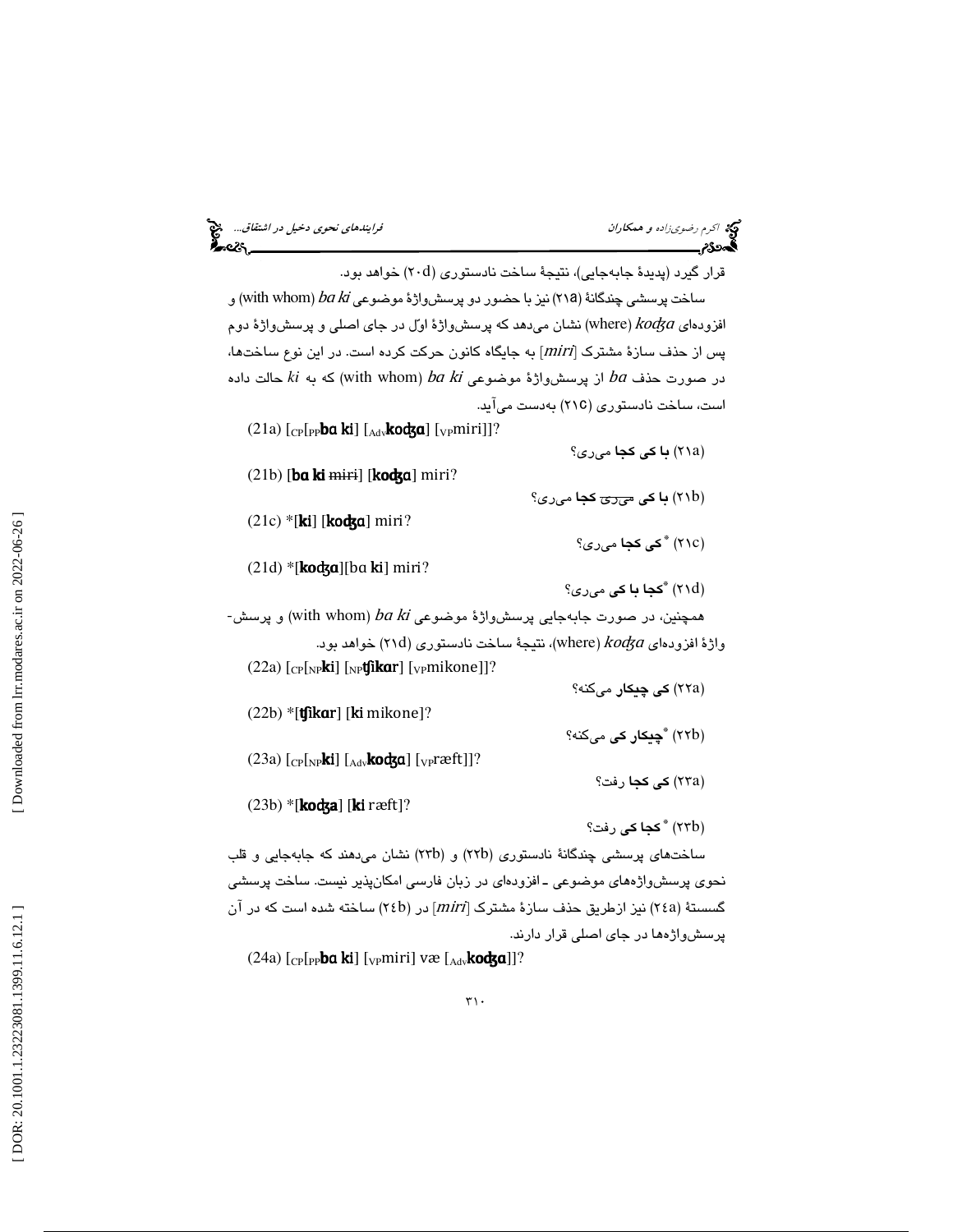|  | ده اکرم رضوی زاده و همکاران<br>که ۱۵۰۰ |  |
|--|----------------------------------------|--|
|  |                                        |  |

قرار گیرد (پدیدهٔ جابهجایی)، نتیجهٔ ساخت نادستوری (۲۰d) خواهد بود.

ساخت پرسشی چندگانهٔ (۲۱۵) نیز با حضور دو پرسشواژهٔ موضوعی with whom)  $\emph{ba}$  و افزودهای where)  $k$ od $j$  نشان میدهد که پرسش $\epsilon$ راژهٔ اول در جای اصلی و پرسش $\epsilon$ راژهٔ دوم پس از حذف سازة مشترك [miri [به جايگاه كانون حركت كرده است. در اين نوع ساختها،  $ki$  در صورت حذف  $ba$  از پرسش $\epsilon$ راژهٔ موضوعی with whom)  $ba$  که به  $ki$  حالت داده است، ساخت نادستوری (٢١C) بهدست میآید.

(21a) [<sub>CP</sub>[<sub>PP</sub>**bɑ ki**] [<sub>Adv</sub>**koʤɑ**] [<sub>VP</sub>miri]]? (۲۱a) **با كى كجا** مىرى؟  $(21b)$  [ba ki miri] [kodza] miri? (۲۱b<mark>) با کی <del>میری</del> کجا</mark> میری؟  $(21c)$  \*[ki] [kodza] miri? (٢١c) **" كى كجا** مىرى؟ (21d) \*[**koʤɑ**][ba **ki**] miri? کجا با کی م<sub>ی</sub>ری؟  $\check{~}$ - همچنين، در صورت جابهجايي پرسشواژهٔ موضوعی (with whom) *ba ki* پرسش واژهٔ افزودهای Ko $d$ a)، ستیجهٔ ساخت نادستوری (۲۱d) خواهد بود.  $\eta$ (22a) [<sub>CP</sub>[<sub>NP</sub>**ki**] [<sub>NP</sub>**tʃikar**] [<sub>VP</sub>mikone]]? (۲۲a) **کی چیکار** میکنه؟  $(22b)$  \*[**tfikar**] [**ki** mikone]? (۲۲b) **\*چیکار کی** میکنه؟ (23a)  $\lbrack$ <sub>CP</sub> $\lbrack$ <sub>NP</sub>**ki**]  $\lbrack$ <sub>Adv</sub>**kodza**]  $\lbrack$ <sub>VP</sub>ræft]]? (۲۳a) **كى كجا** رفت؟ (23b) \*[**koʤa**] [**ki** ræft]? (۲۳b) **\* كجا كي** رفت؟ ساختهای پرسشی چندگانهٔ نادستوری (۲۲b) و (۲۳b) نشان میدهند که جابهجایی و قلب نحوي پرسشواژههاي موضوعي ـ افزودهاي در زبان فارسي امكانپذير نيست. ساخت پرسشي گسستهٔ (۲٤a) نیز ازطریق حذف سازهٔ مشترک [miri] در (۲٤b) ساخته شده است که در آن پرسشواژهها در جاي اصلي قرار دارند.

(24a) [<sub>CP</sub>[<sub>PP</sub>**ba ki**] [<sub>VP</sub>miri] væ [<sub>Adv</sub>**kodʒa**]]?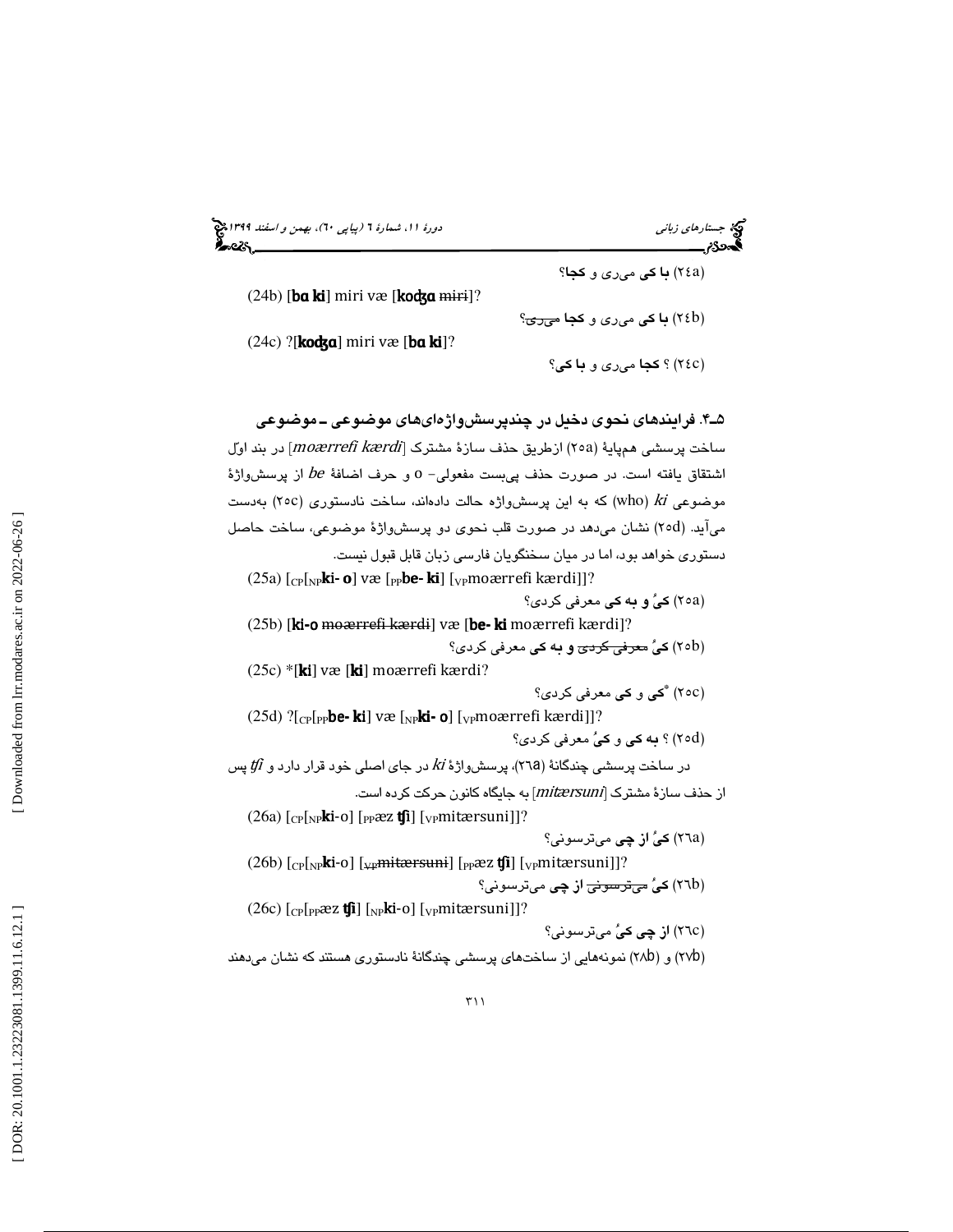(پياپي 60)، بهمن و اسفند 1399 جستارهاي زباني دورة ،11 شمارة 6

 $(24b)$  [ba ki] miri væ [kodza miri]?

(24c) ?[koʤɑ] miri væ [bɑki]?

24) ؟ كجا ميري و با كي ؟ c )

(۲٤b<mark>) **با كى** مىرى و كجا <del>مىرى</del>؟</mark>

(٢٤a) **با كى** مىرى و **كجا**؟

# 4ـ5 . فرايندهاي نحوي دخيل در چندپرسشواژهايهاي موضوعي ـ موضوعي

ساخت پرسشي همپايهٔ (٢٥a) ازطريق حذف سازهٔ مشترک [moærrefi kærdi] در بند اول اشتقاق يافته است. در صورت حذف پیبست مفعولی– 0 و حرف اضافهٔ be از پرسشواژهٔ موضوعی who)  $k$ i که به این پرسش $\phi$ رژه حالت دادهاند، ساخت نادستوری (۲۰c) بهدست میآید. (٢٥d) نشان میدهد در صورت قلب نحوی دو پرسشواژهٔ موضوعی، ساخت حاصل دستوري خواهد بود، اما در ميان سخنگويان فارسي زبان قابل قبول نيست.

(25a) [<sub>CP</sub>[<sub>NP</sub>**ki- o**] væ [<sub>PP</sub>**be- ki**] [<sub>VP</sub>moærrefi kærdi]]? ) 25 كي و به كي معرفي كردي؟ a ) (25b) [ki-o moærrefi kærdi] væ [be- ki moærrefi kærdi]? (۲۰b) **كىُ <del>معرفي كردئ</del> و به كي** معرفي كردى؟ (25c) \*[**ki**] væ [**ki**] moærrefi kærdi? (٢٥c) **"كي و كي** معرفي كردي؟ (25d) ?[<sub>CP</sub>[<sub>PP</sub>**be- ki**] væ [<sub>NP</sub>**ki- o**] [<sub>VP</sub>moærrefi kærdi]]? 25) ؟ به كي و كي معرفي كردي؟ d ) در ساخت پرسشی چندگانهٔ (۲۱a)، پرسش $k$ زهٔ  $k$  در جای اصلی خود قرار دارد و  $\emph{tf}$  پس از حذف سازة مشترك [mitærsuni] به جايگاه كانون حركت كرده است. (26a) [<sub>CP</sub>[<sub>NP</sub>**ki**-o] [<sub>PP</sub>æz **tʃi**] [<sub>VP</sub>mitærsuni]]? (٢٦a) **کیُ از چی** میترسونی؟ (26b) [<sub>CP</sub>[<sub>NP</sub>**ki**-o] [<sub>VP</sub>mi<del>tærsuni</del>] [<sub>PP</sub>æz **tʃi**] [<sub>VP</sub>mitærsuni]]? (٢٦b) **کیُ** <del>میٽرسونی</del> ا**ز چی** میٽرسونی؟ (26c) [<sub>CP</sub>[<sub>PP</sub>æz **tʃi**] [<sub>NP</sub>**ki**-o] [<sub>VP</sub>mitærsuni]]? (٢٦c) **از چی کیُ** میترسونی؟ (۲۷b) و (۲۸b) نمونههایی از ساختهای پرسشی چندگانهٔ نادستوری هستند که نشان میدهند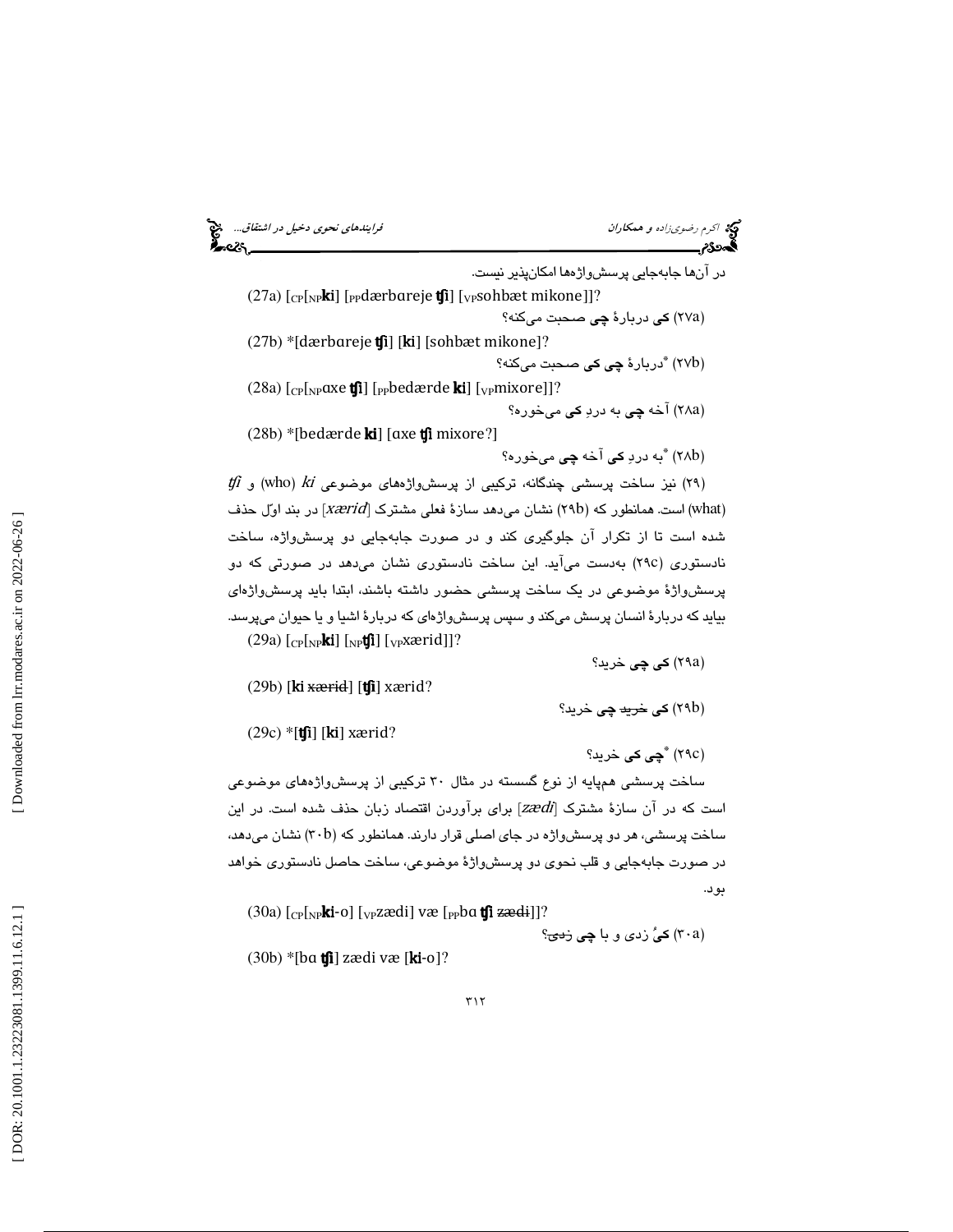اكرم رضوي زاده و همكاران فرايندهاي نحوي دخيل در اشتقاق...<br>**اكتحاد**ى

در آنها جابهجايي پرسشواژهها امكانپذير نيست. (27a) [<sub>CP</sub>[<sub>NP</sub>ki] [<sub>PP</sub>dærbareje **tʃi**] [<sub>VP</sub>sohbæt mikone]]? (۲۷a) **کی** دربارهٔ **چی** صحبت میکنه؟ (27b) \*[dærbareje tʃi] [ki] [sohbæt mikone]? (۲۷b) <sup>\*</sup>دربارهٔ **چی کی** صحبت میکنه؟ (28a) [<sub>CP</sub>[<sub>NP</sub>ɑxe **tʃi**] [<sub>PP</sub>bedærde **ki**] [<sub>VP</sub>mixore]]? 28) آخه چي به درد كي ميخوره؟ a )  $(28b)$  \*[bedærde **ki**] [axe **tfi** mixore?] (۲۸b) <sup>\*</sup>به دردِ **کی** آخه **چی** میخوره؟

 $t$ f) نيز ساخت پرسشى چندگانه، تركيبى از پرسشواژههاى موضوعى who)  $k$ i ( (what) است. همانطور كه (٢٩b) نشان مىدهد سازهٔ فعلى مشترك [xærid] در بند اوّل حذف شده است تا از تكرار آن جلوگيري كند و در صورت جابهجايي دو پرسشواژه، ساخت نادستوری (٢٩c) بهدست میآید. این ساخت نادستوری نشان میدهد در صورتی كه دو پرسشواژة موضوعي در يك ساخت پرسشي حضور داشته باشند، ابتدا بايد پرسشواژهاي بيايد كه دربارة انسان پرسش ميكند و سپس پرسشواژهاي كه دربارة اشيا و يا حيوان ميپرسد. (29a) [<sub>CP</sub>[<sub>NP</sub>**ki**] [<sub>NP</sub>**tʃi**] [<sub>VP</sub>xærid]]?

(۲۹a) **كى چى** خريد؟

 $(29b)$  [ki xærid] [tʃi] xærid?

(۲۹b) **کی <del>خرید</del> چی** خرید؟

 $(29c)$  \*[tʃi] [ki] xærid?

(٢٩c) **"چي کي** خريد؟

ساخت پرسشي همپايه از نوع گسسته در مثال 30 تركيبي از پرسشواژههاي موضوعي است كه در آن سازهٔ مشترک [zædi] برای برآوردن اقتصاد زبان حذف شده است. در این ساخت پرسشی، هر دو پرسشواژه در جای اصلی قرار دارند. همانطور که (۳۰b) نشان میدهد، در صورت جابهجايي و قلب نحوي دو پرسشواژة موضوعي، ساخت حاصل نادستوري خواهد بود.

(30a) [<sub>CP</sub>[<sub>NP</sub>**ki-**o] [<sub>VP</sub>zædi] væ [<sub>PP</sub>bɑ **tʃi zæd**i]]?

(۳۰a) **كى**ُ زدى و با **چى** <del>زدى</del>؟

 $(30b)$  \*[ba tʃi] zædi væ [ki-o]?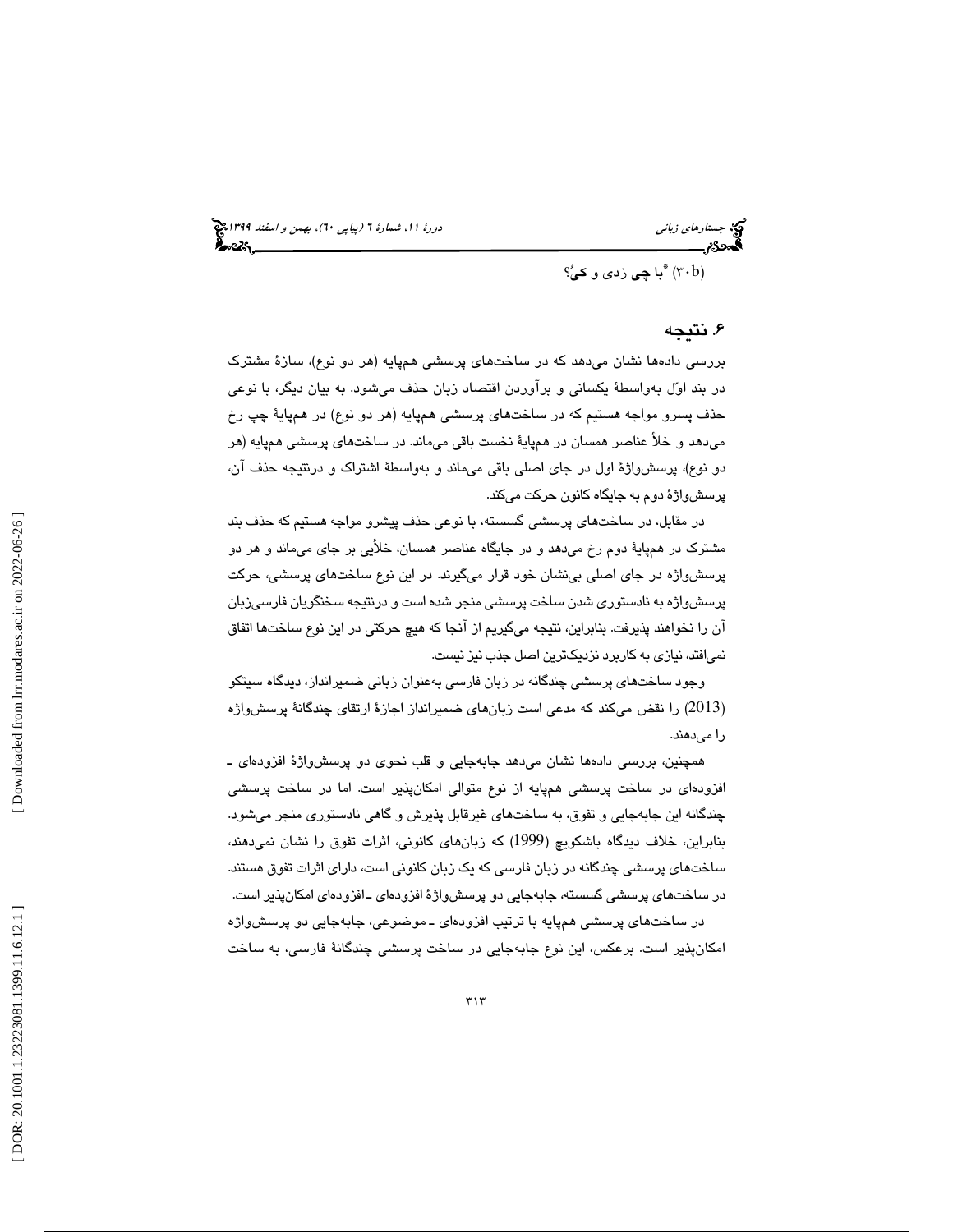(٣٠b) <sup>ٿ</sup>با **چي** زدي و **کي**ُ؟

# ۶. نتيجه

بررسي دادهها نشان ميدهد كه در ساختهاي پرسشي همپايه (هر دو نوع)، سازة مشترك در بند اول بهواسطة يكساني و برآوردن اقتصاد زبان حذف ميشود. به بيان ديگر، با نوعي حذف پسرو مواجه هستيم كه در ساختهاي پرسشي همپايه (هر دو نوع) در همپاية چپ رخ ميدهد و خلأ عناصر همسان در همپاية نخست باقي ميماند. در ساختهاي پرسشي همپايه (هر دو نوع)، پرسشواژة اول در جاي اصلي باقي ميماند و بهواسطة اشتراك و درنتيجه حذف آن، پرسشواژة دوم به جايگاه كانون حركت ميكند.

در مقابل، در ساختهاي پرسشي گسسته، با نوعي حذف پيشرو مواجه هستيم كه حذف بند مشترك در همپاية دوم رخ ميدهد و در جايگاه عناصر همسان، خلأيي بر جاي ميماند و هر دو پرسشواژه در جاي اصلي بينشان خود قرار ميگيرند. در اين نوع ساختهاي پرسشي، حركت پرسشواژه به نادستوري شدن ساخت پرسشي منجر شده است و درنتيجه سخنگويان فارسيزبان آن را نخواهند پذيرفت. بنابراين، نتيجه ميگيريم از آنجا كه هيچ حركتي در اين نوع ساختها اتفاق نميافتد، نيازي به كاربرد نزديكترين اصل جذب نيز نيست.

وجود ساختهای پرسشی چندگانه در زبان فارسی بهعنوان زبانی ضمیرانداز، دیدگاه سیتکو كند كه مدعي است زبانهاي ضميرانداز اجازة ارتقاي چندگانة پرسشواژه 2013) را نقض مي ) را ميدهند.

همچنين، بررسي دادهها نشان ميدهد جابهجايي و قلب نحوي دو پرسشواژة افزودهاي ـ افزودهاي در ساخت پرسشي همپايه از نوع متوالي امكانپذير است. اما در ساخت پرسشي چندگانه اين جابهجايي و تفوق، به ساختهاي غيرقابل پذيرش و گاهي نادستوري منجر ميشود. بنابراين، خلاف ديدگاه باشكويچ (1999) كه زبانهاي كانوني، اثرات تفوق را نشان نميدهند، ساختهاي پرسشي چندگانه در زبان فارسي كه يك زبان كانوني است، داراي اثرات تفوق هستند. در ساختهاي پرسشي گسسته، جابهجايي دو پرسشواژة افزودهاي ـ افزودهاي امكانپذير است.

در ساختهاي پرسشي همپايه با ترتيب افزودهاي ـ موضوعي، جابهجايي دو پرسشواژه امكانپذير است. برعكس، اين نوع جابهجايي در ساخت پرسشي چندگانة فارسي، به ساخت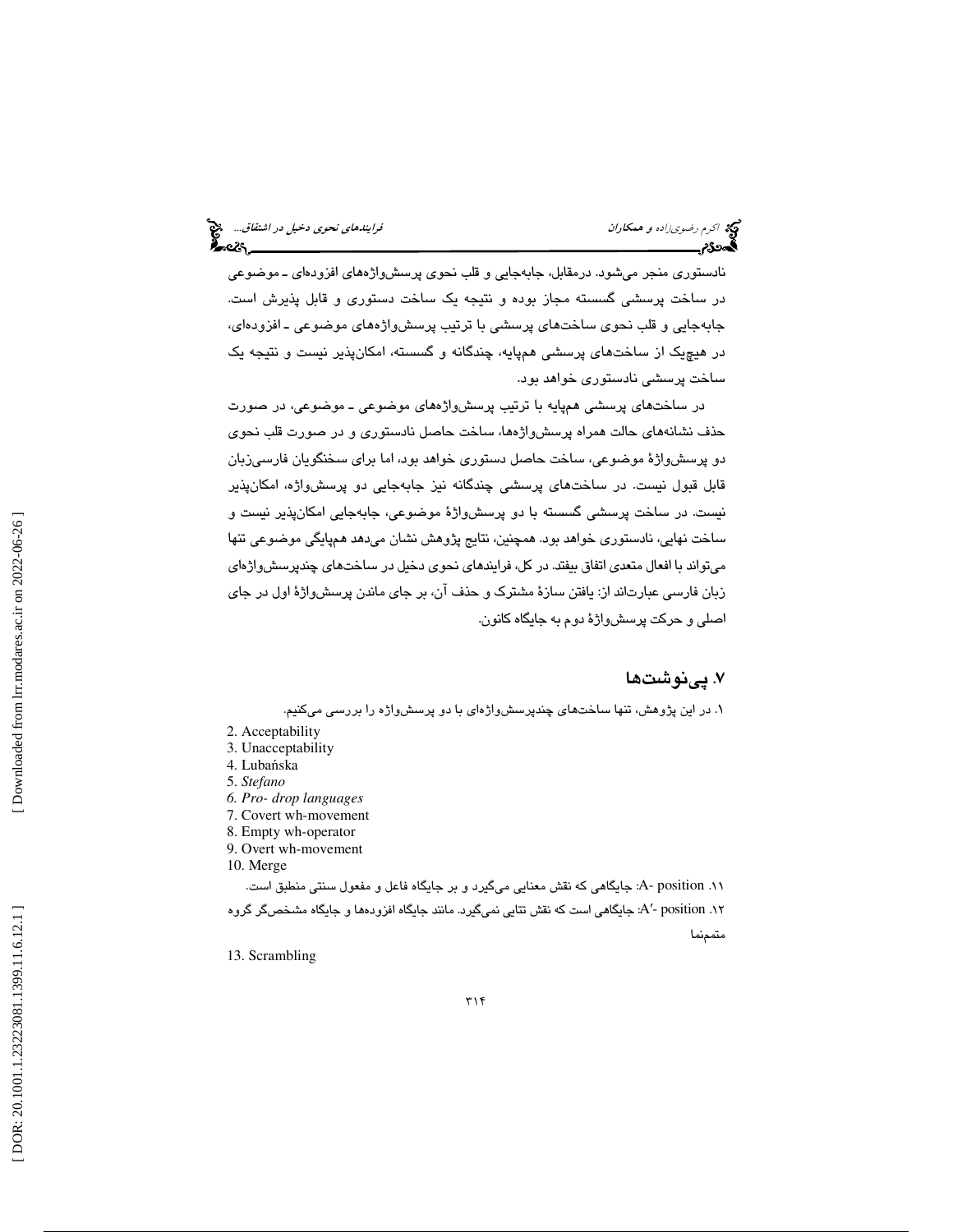نادستوري منجر ميشود. درمقابل، جابهجايي و قلب نحوي پرسشواژههاي افزودهاي ـ موضوعي در ساخت پرسشي گسسته مجاز بوده و نتيجه يك ساخت دستوري و قابل پذيرش است. جابهجايي و قلب نحوي ساختهاي پرسشي با ترتيب پرسشواژههاي موضوعي ـ افزودهاي، در هيچيك از ساختهاي پرسشي همپايه، چندگانه و گسسته، امكانپذير نيست و نتيجه يك ساخت پرسشي نادستوري خواهد بود.

در ساختهاي پرسشي همپايه با ترتيب پرسشواژههاي موضوعي ـ موضوعي، در صورت حذف نشانههاي حالت همراه پرسشواژهها، ساخت حاصل نادستوري و در صورت قلب نحوي دو پرسشواژهٔ موضوعی، ساخت حاصل دستوری خواهد بود، اما برای سخنگویان فارسیزبان قابل قبول نيست. در ساختهاي پرسشي چندگانه نيز جابهجايي دو پرسشواژه، امكانپذير نيست. در ساخت پرسشي گسسته با دو پرسشواژة موضوعي، جابهجايي امكانپذير نيست و ساخت نهايي، نادستوري خواهد بود. همچنين، نتايج پژوهش نشان ميدهد همپايگي موضوعي تنها ميتواند با افعال متعدي اتفاق بيفتد. در كل، فرايندهاي نحوي دخيل در ساختهاي چندپرسشواژهاي زبان فارسی عبارتاند از: یافتن سازهٔ مشترک و حذف آن، بر جای ماندن پرسشواژهٔ اول در جای اصلي و حركت پرسشواژة دوم به جايگاه كانون .

# . پينوشت ها 7

۱. در این پژوهش، تنها ساختهای چندپرسشواژهای با دو پرسشواره را بررسی میکنیم.

- 3. Unacceptability
- 4. Luba ńska
- 5. *Stefano*
- *6. Pro- drop languages*
- 7. Covert wh-movement
- 8. Empty wh-operator 9. Overt wh-movement
- 10. Merge

.11 position -A: جايگاهي كه نقش معنايي ميگيرد و بر جايگاه فاعل و مفعول سنتي منطبق است. A: جايگاهي است كه نقش تتايي نميگيرد. مانند جايگاه افزودهها و جايگاه مشخصگر گروه ′- position .12 متممنما

13. Scrambling

<sup>2.</sup> Acceptability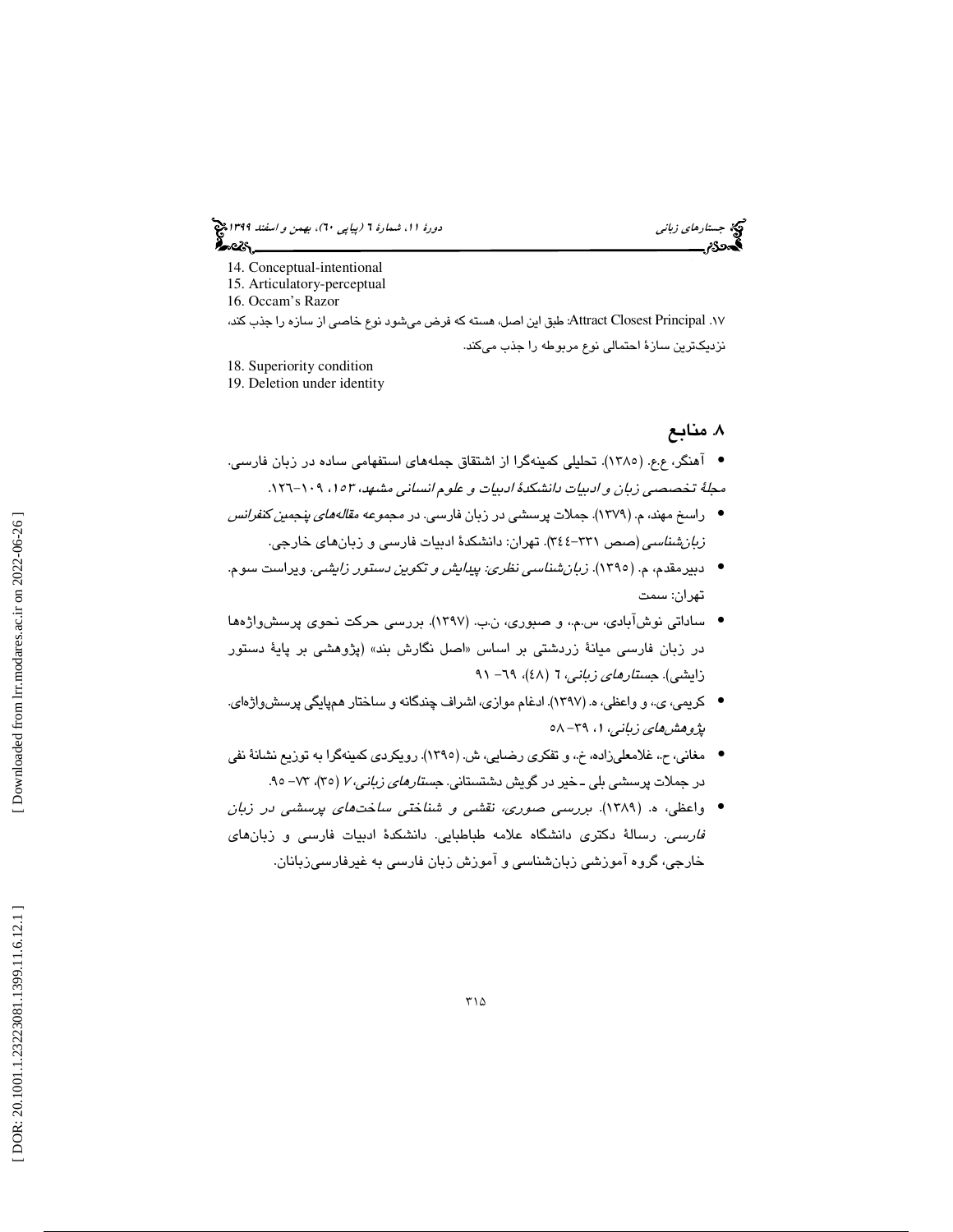(پياپي 60)، بهمن و اسفند 1399 جستارهاي زباني دورة ،11 شمارة 6 ಹಿಂಡಿ

- 14. Conceptual-intentional
- 15. Articulatory-perceptual
- 16. Occam's Razor

. 17 Principal Closest Attract: طبق اين اصل، هسته كه فرض ميشود نوع خاصي از سازه را جذب كند، نزديكترين سازة احتمالي نوع مربوطه را جذب ميكند.

18. Superiority condition

19. Deletion under identity

# . منابع 8

- آهنگر، ع.ع. (١٣٨٥). تحليلي كمينهگرا از اشتقاق جملههاي استفهامي ساده در زبان فارسي. مجلةً تخصصي زبان و ادبيات دانشكدة ادبيات و علوم انساني مشهد، ١٥٣، ١٠٩-١٢٦.
- راسخ مهند، م. (1379). جملات پرسشي در زبان فارسي. در مجموعه مقالههاي پنجمين كنفرانس ز*بان،شناسي* (صص ٣٣١–٣٤٤). تهران: دانشكدهٔ ادبيات فارسي و زبانهاي خارجي.
- دبيرمقدم، م. (1395). زبانشناسي نظري: پيدايش و تكوين دستور زايشي. ويراست سوم. تهران: سمت
- ساداتي نوشآبادي، س.م،. و صبوري، ن.ب. (1397). بررسي حركت نحوي پرسشواژهها در زبان فارسی میانهٔ زردشتی بر اساس «اصل نگارش بند» (پژوهشی بر پایهٔ دستور زايشي). *جستارهاي زباني،* ٦ (٤٨)، *٦٩– ٩*١
- كريمي، ي،. و واعظي، ه. (1397). ادغام موازي، اشراف چندگانه و ساختار همپايگي پرسشواژهاي. پژ*وهشهای زبانی*، ۱، ۳۹– ۵۸
- مغاني، ح،. غلامعليزاده، خ،. و تفكري رضايي، ش. (1395 ). رويكردي كمينهگرا به توزيع نشانة نفي در جملات پرسشی بلی ــخیر در گویش دشتستانی. *جستارهای زبانی، ۲* (۳۵)، ۷۳– ۹۵.
- واعظي، ه. (1389). بررسي صوري، نقشي و شناختي ساختهاي پرسشي در زبان فارسي. رسالة دكتري دانشگاه علامه طباطبايي. دانشكدة ادبيات فارسي و زبانهاي خارجي، گروه آموزشي زبانشناسي و آموزش زبان فارسي به غيرفارسيزبانان.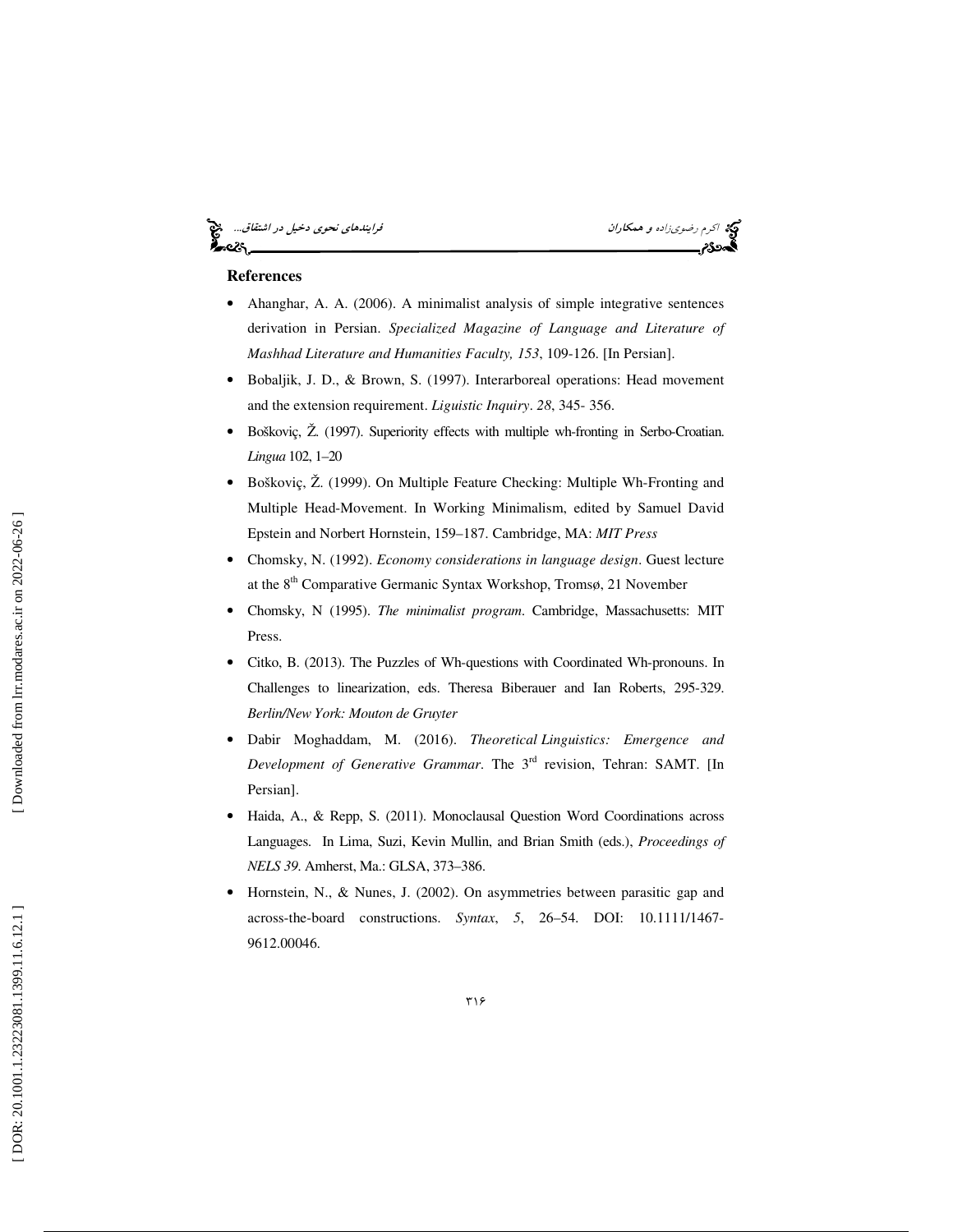# اكرم اكرم رضوي زاده و همكاران فرايندهاي نحوي دخيل در اشتقاق...<br>**اكتحد**ى مراجع داران فرايندهاي نحوي در است المراجع داران است المراجع داران است المراجع در اشتقاق...<br>**ا**كتحدى مراجع داران المراجع داران المراجع داران المراجع د —ેન્ડ

## **References**

- Ahanghar, A. A. (2006). A minimalist analysis of simple integrative sentences derivation in Persian. *Specialized Magazine of Language and Literature of Mashhad Literature and Humanities Faculty, 153*, 109-126. [In Persian].
- Bobaljik, J. D., & Brown, S. (1997). Interarboreal operations: Head movement and the extension requirement. *Liguistic Inquiry*. *28*, 345- 356.
- Boškoviç, Ž. (1997). Superiority effects with multiple wh-fronting in Serbo-Croatian. *Lingua* 102, 1–20
- Boškoviç, Ž. (1999). On Multiple Feature Checking: Multiple Wh-Fronting and Multiple Head-Movement. In Working Minimalism, edited by Samuel David Epstein and Norbert Hornstein, 159–187. Cambridge, MA: *MIT Press*
- Chomsky, N. (1992). *Economy considerations in language design*. Guest lecture at the 8<sup>th</sup> Comparative Germanic Syntax Workshop, Tromsø, 21 November
- Chomsky, N (1995). *The minimalist program*. Cambridge, Massachusetts: MIT Press.
- Citko, B. (2013). The Puzzles of Wh-questions with Coordinated Wh-pronouns. In Challenges to linearization, eds. Theresa Biberauer and Ian Roberts, 295-329. *Berlin/New York: Mouton de Gruyter*
- Dabir Moghaddam, M. (2016). *Theoretical Linguistics: Emergence and Development of Generative Grammar*. The 3rd revision, Tehran: SAMT. [In Persian].
- Haida, A., & Repp, S. (2011). Monoclausal Question Word Coordinations across Languages. In Lima, Suzi, Kevin Mullin, and Brian Smith (eds.), *Proceedings of NELS 39*. Amherst, Ma.: GLSA, 373–386.
- Hornstein, N., & Nunes, J. (2002). On asymmetries between parasitic gap and across-the-board constructions. *Syntax*, *5*, 26–54. DOI: 10.1111/1467- 9612.00046.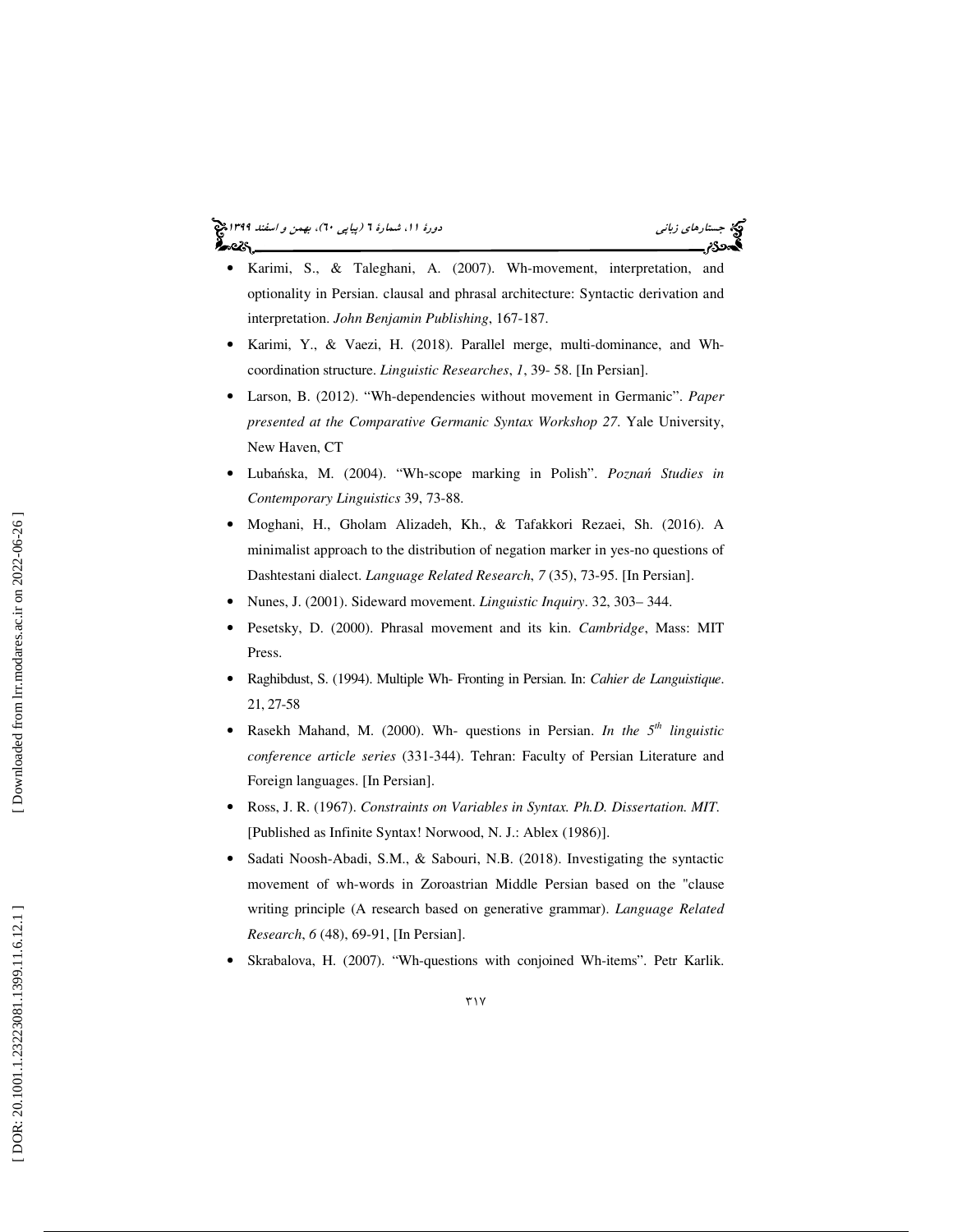(پياپي 60)، بهمن و اسفند 1399 جستارهاي زباني دورة ،11 شمارة 6

- Karimi, S., & Taleghani, A. (2007). Wh-movement, interpretation, and optionality in Persian. clausal and phrasal architecture: Syntactic derivation and interpretation. *John Benjamin Publishing*, 167-187.
- Karimi, Y., & Vaezi, H. (2018). Parallel merge, multi-dominance, and Whcoordination structure. *Linguistic Researches*, *1*, 39- 58. [In Persian].
- Larson, B. (2012). "Wh-dependencies without movement in Germanic". *Paper presented at the Comparative Germanic Syntax Workshop 27*. Yale University, New Haven, CT
- Luba ńska, M. (2004). "Wh-scope marking in Polish". *Pozna* ń *Studies in Contemporary Linguistics* 39, 73-88.
- Moghani, H., Gholam Alizadeh, Kh., & Tafakkori Rezaei, Sh. (2016). A minimalist approach to the distribution of negation marker in yes-no questions of Dashtestani dialect. *Language Related Research*, *7* (35), 73-95. [In Persian].
- Nunes, J. (2001). Sideward movement. *Linguistic Inquiry*. 32, 303– 344.
- Pesetsky, D. (2000). Phrasal movement and its kin. *Cambridge*, Mass: MIT Press.
- Raghibdust, S. (1994). Multiple Wh- Fronting in Persian. In: *Cahier de Languistique*. 21, 27-58
- Rasekh Mahand, M. (2000). Wh- questions in Persian. *In the 5th linguistic conference article series* (331-344). Tehran: Faculty of Persian Literature and Foreign languages. [In Persian].
- Ross, J. R. (1967). *Constraints on Variables in Syntax. Ph.D. Dissertation. MIT.* [Published as Infinite Syntax! Norwood, N. J.: Ablex (1986)].
- Sadati Noosh-Abadi, S.M., & Sabouri, N.B. (2018). Investigating the syntactic movement of wh-words in Zoroastrian Middle Persian based on the "clause writing principle (A research based on generative grammar). *Language Related Research*, *6* (48), 69-91, [In Persian].
- Skrabalova, H. (2007). "Wh-questions with conjoined Wh-items". Petr Karlik.